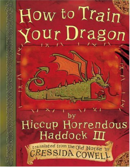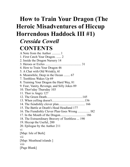# **How to Train Your Dragon (The Heroic Misadventures of Hiccup Horrendous Haddock III #1)**

## *Cressida Cowell* **CONTENTS**

A Note from the Author ........... l 1. First Catch Your Dragon. ...... 2 2. Inside the Dragon Nursery 14 3. Heroes or Exiles ............................................. 31 4. How to Train Your Dragon 46 5. A Chat with Old Wrinkly, 6l 6. Meanwhile, Deep in the Ocean ........ 67 7. Toothless Wakes Up 69 8. Training Your Dragon the Hard Way, 81 9. Fear, Vanity, Revenge, and Silly Jokes 89 10. Thor'sday Thursday 103 11. Thor is Angry 127 12. The Green Death.............................................145 13. When yelling doesn't.........................................156 14. The fiendishly clever plan................................. 166 15. The Battle at Death's Head Headland 177 16. The Fiendishly Clever Plan Goes Wrong ............... l82 17. In the Mouth of the Dragon................................ 186 18. The Extraordinary Bravery of Toothless ... 190 19. Hiccup the Useful, 200 20. Epilogue by the Author 211 vi [Map: Isle of Berk] vii [Map: Meathead islands ] viii [Page Blank]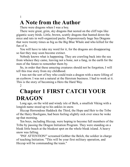## **A Note from the Author**

There were dragons when I was a boy.

There were great, grim, sky dragons that nested on the cliff tops like gigantic scary birds. Little, brown, scuttly dragons that hunted down the mice and rats in well-organized packs. Preposterously huge Sea Dragons that were twenty times as big as the Big Blue Whale and who killed for the fun of it.

You will have to take my word for it, for the dragons are disappearing so fast they may soon become extinct.

Nobody knows what is happening. They are crawling back into the sea from whence they came, leaving not a bone, not a fang, in the earth for the men of the future to remember them by.

So, in order that these amazing creatures should not be forgotten, I will tell this true story from my childhood.

I was not the sort of boy who could train a dragon with a mere lifting of an eyebrow. I was not a natural at the Heroism business. I had to work at it. This is the story of becoming a Hero the Hard Way.

2

## **Chapter 1 FIRST CATCH YOUR DRAGON**

Long ago, on the wild and windy isle of Berk, a smallish Viking with a longish name stood up to his ankles in snow.

Hiccup Horrendous Haddock the Third, the Hope and Heir to the Tribe of the Hairy Hooligans, had been feeling slightly sick ever since he woke up that morning.

Ten boys, including Hiccup, were hoping to become full members of the Tribe by passing the Dragon Initiation Program. They were standing on a bleak little beach at the bleakest spot on the whole bleak island. A heavy snow was falling.

"PAY ATTENTION!" screamed Gobber the Belch, the soldier in charge of teaching Initiation. "This will be your first military operation, and Hiccup will be commanding the team."

1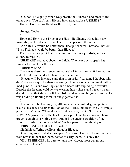"Oh, not Hic-cup," groaned Dogsbreath the Duhbrain and most of the other boys. "You can't put': Hiccup in charge, sir, he's USELESS."

Hiccup Horrendous Haddock the Third, the

3

[Image: Gobber]

4

Hope and Heir to the Tribe of the Hairy Hooligans, wiped his nose miserably on his sleeve. He sank a little deeper into the snow.

"ANYBODY would be better than Hiccup," sneered Snotface Snotlout. "Even Fishlegs would be better than Hiccup."

Fishlegs had a squint that made him as blind as a jellyfish, and an allergy to reptiles.

"SILENCE!" roared Gobber the Belch. "The next boy to speak has limpets for lunch for the next

THREE WEEKS!"

There was absolute silence immediately. Limpets are a bit like worms and a bit like snot and a lot less tasty than either.

"Hiccup will be in charge and that is an order!" screamed Gobber, who didn't do noises quieter than screaming. He was a seven-foot giant with a mad glint in his one working eye and a beard like exploding fireworks. Despite the freezing cold he was wearing hairy shorts and a teeny weeny deerskin vest that showed off his lobster-red skin and bulging muscles. He was holding a flaming torch in one gigantic fist.

5

"Hiccup will be leading you, although he is, admittedly, completely useless, because Hiccup is the son of the CHIEF, and that's the way things go with us Vikings. Where do you think you are, the REPUBLIC OF ROME? Anyway, that is the least of your problems today. You are here to prove yourself as a Viking Hero. And it is an ancient tradition of the Hooligan Tribe that you should --" Gobber paused dramatically --

"FIRST CATCH YOUR DRAGON!"

Ohhhhhh suffering scallops, thought Hiccup.

"Our dragons are what set us apart!" bellowed Gobber. "Lesser humans train hawks to hunt for them, horses to carry them. It is only the

VIKING HEROES who dare to tame the wildest, most dangerous creatures on Earth."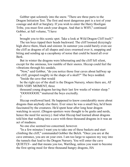Gobber spat solemnly into the snow. "There are three parts to the Dragon Initiation Test. The first and most dangerous part is a test of your courage and skill at burglary. If you wish to enter the Hairy Hooligan Tribe, you must first catch your dragon. And that is WHY," continued Gobber, at full volume, "I have

6

brought you to this scenic spot. Take a look at Wild Dragon Cliff itself."

The ten boys tipped their heads backward. The cliff loomed dizzyingly high above them, black and sinister. In summer you could barely even see the cliff as dragons of all shapes and sizes swarmed over it, snapping and biting and sending up a cacophony of noise that could be heard all over Berk.

But in winter the dragons were hibernating and the cliff fell silent, except for the ominous, low rumble of their snores. Hiccup could feel the vibrations through his sandals.

"Now," said Gobber, "do you notice those four caves about halfway up the cliff, grouped roughly in the shape of a skull?" The boys nodded.

"Inside the cave that would

be the right eye of the skull is the Dragon Nursery, where there are, AT THIS VERY MOMENT, three

thousand young dragons having their last few weeks of winter sleep." *"OOOOOOOH,"* muttered the boys excitedly. 7

Hiccup swallowed hard. He happened to know considerably more about dragons than anybody else there. Ever since he was a small boy, he'd been fascinated by the creatures. He'd spent hour after long hour dragon watching in secret. (Dragon-spotters were thought to be geeks and nerds, hence the need for secrecy.) And what Hiccup had learned about dragons told him that walking into a cave with three thousand dragons in it was an act of madness.

No one else seemed too concerned, however.

"In a few minutes I want you to take one of these baskets and start climbing the cliff," commanded Gobber the Belch. "Once you are at the cave entrance, you are on your own. I am too large to squeeze my way into the tunnels that lead to the Dragon Nursery. You will enter the cave QUIETLY-- and that means you too, Wartihog, unless you want to become the first spring meal for three thousand hungry dragons, HA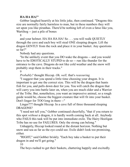#### **HA HA HA!"**

Gobber laughed heartily at his little joke, then continued. "Dragons this size are normally fairly harmless to man, but in these numbers they will set upon you like piranhas. There'd be nothing left of even a fatso like you, Wartihog -- just a pile of bones

8

and your helmet. HA HA HA HA! So . . . you will walk QUIETLY through the cave and each boy will steal ONE sleeping dragon. Lift the dragon GENTLY from the rock and place it in your basket. Any questions so far?"

Nobody had any questions.

"In the unlikely event that you DO wake the dragons -- and you would have to be IDIOTICALLY STUPID to do so -- run like thunder for the entrance to the cave. Dragons do not like cold weather and the snow will probably stop them in their tracks."

9

*Probably?* thought Hiccup. *Oh, well,* that's *reassuring.*

"I suggest that you spend a little time choosing your dragon. It is important to get one the correct size. This will be the dragon that hunts fish for you, and pulls down deer for you. You will catch the dragon that will carry you into battle later on, when you are much older and a Warrior of the Tribe. But, nonetheless, you want an impressive animal, so a rough guide would be, choose the biggest creature that will fit into your basket. Don't linger for TOO long in there --"

Linger??? thought Hiccup. In a cave full of three thousand sleeping DRAGONS?

"I need not tell you," Gobber continued cheerfully, "that if you return to this spot *without* a dragon, it is hardly worth coming back at all. Anybody who FAILS this task will be put into immediate exile. The Hairy Hooligan Tribe has no use for FAILURES. Only the strong can belong."

Unhappily, Hiccup looked round at the distant horizon. Nothing but snow and sea as far as the eye could see. Exile didn't look too promising, either.

"RIGHT," said Gobber briskly. "Each boy take a basket to put their dragon in and we'll get going."

10

The boys rushed to get their baskets, chattering happily and excitedly.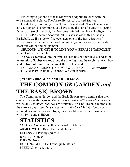"I'm going to get one of those Monstrous Nightmare ones with the extra-extendable claws. They're really scary," boasted Snotlout.

"Oh shut up, Snotlout, you can't," said Speedi-fist. "Only Hiccup can have a Monstrous Nightmare, you have to be the son of a chief." Hiccup's father was Stoick the Vast, the fearsome chief of the Hairy Hooligan tribe.

"HIC-CUP?" sneered Snotlout. "If he's as useless at this as he is at Bashyball, we'll be lucky if he even gets one of the Basic Browns."

The Basic Brown was the most common type of dragon, a serviceable beast but without much glamour.

"SHUDDUP AND GET INTO LINE YOU MISERABLE TADPOLES!" yelled Gobber the Belch.

The boys scrambled into their places, baskets on their backs, and stood to attention. Gobber walked along the line, lighting the torch that each boy held in front of him from the great flare in his hand.

"IN HALF AN HOUR'S TIME YOU WILL BE A VIKING WARRIOR. WITH YOUR FAITHFUL SERPENT AT YOUR SIDE ...

11

### [ **VIKING DRAGONS AND THEIR EGGS**

## **THE COMMON** *OR* **GARDEN** *and* **THE BASIC BROWN**

The Common or Garden and the Basic Brown are so similar that they can Be dealt with *together. These are the* most *familiar breeds - the* ones we instantly *think of when* we say "dragons." pr They are poor hunters, but they are easy *to train. These dragons are the best k* ind *for family* pets, although, as with a lion or a tiger, they should never he left unsupervised with very young children.

### **STATISTICS**

COLORS: Green and yellow, all shades of brown ARMED WITH **:** Basic teeth and claws 3 DEFENSES **:** Prickly spines 2 RADAR **:** None 0 POISON: None 0 HUNTING ABDLITY: Lethargic hunters 3 SPEED: *Swift in* retreat 8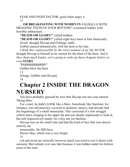FEAR AND FIGHT FACTOR: good when angry *4* 12

... **OR BREAKFASTING WITH WODEN IN** VALHALLA WITH DRAGONS' TEETH IN YOUR BOTTOM!" screamed Gobber with horrible enthusiasm. :

**"DEATH OR GLORY!"** yelled Gobber.

**"DEATH OR GLORY!"** yelled eight boys back at him fanatically. *Death,* thought Hiccup and Fishlegs, sadly.

Gobber paused dramatically, with the horn to his lips.

*I think this could possibly be the worst moment of my life SO FAR,* thought Hiccup to himself as he waited for the blast of the horn. *And if they shout much louder, we're going to wake up those dragons before we*

*even* **START.**

"PARRRRRRRRRP!"

Gobber blew the horn.

13

[Image: Gobber and Hiccup]

14

## **Chapter 2 INSIDE THE DRAGON NURSERY**

You have probably guessed by now that Hiccup was not your natural Viking Hero.

For a start, he didn't LOOK like a Hero. Somebody like Snotlout, for instance, was tall,muscley, covered in skeleton, tattoos, and already had the beginnings of a small moustache. This consisted of a few straggly yellow hairs clinging to his upper lip and was deeply unpleasant to look at, but still impressively manly for a boy not yet thirteen.

Hiccup was on the small side and had the kind of face that was almost entirely un-

memorable. He DID have

Heroic Hair, which was a very bright 15

red and stood up vertically however much you tried to wet it down with seawater. But nobody ever saw that because it was hidden under his helmet most of the time.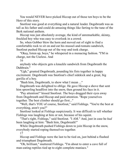You would NEVER have picked Hiccup out of those ten boys to be the Hero of this story.

Snotlout was good at everything and a natural leader. Dogsbreath was as tall as his father and could do amusing things like farting to the tune of the Berk national anthem.

Hiccup was just absolutely average, the kind of unremarkable, skinny, freckled boy who was easy to overlook in a crowd.

So, when Gobber blew the horn and moved out of sight to find a comfortable rock to sit on and eat his mussel-and-tomato sandwich, Snotlout pushed Hiccup out of the way and took charge.

"Okay, listen up, boys," he whispered in a menacing fashion. "I'M in charge, not the Useless. And

16

anybody who objects gets a knuckle sandwich from Dogsbreath the Duhbrain."

"Ugh," grunted Dogsbreath, pounding his fists together in happy excitement. Dogsbreath was Snotlout's chief sidekick and a great, big gorilla of a boy.

"Bash him, Dogsbreath, to show what I mean ..."

Dogsbreath was delighted to oblige. He gave Hiccup a shove that sent him sprawling headfirst into the snow, then ground his face in it.

"Pay attention!" hissed Snotlout. The boys dragged their eyes away from Dogsbreath and Hiccup and paid attention. "Rope yourselves together. The best climber should go first..."

"Well, that's YOU of course, Snotlout," said Fishlegs. "You're the best at everything, aren't you?"

Snotlout looked at Fishlegs suspiciously. It was difficult to tell whether Fishlegs was laughing at him or not, because of his squint.

"That's right, Fishlegs," said Snotlout. "I AM." And, just in case he *had* been laughing at him: "Bash him, Dogsbreath!"

While Dogsbreath pushed Fishlegs down to join Hiccup in the snow, everybody started roping themselves together.

17

Hiccup and Fishlegs were the last to be tied on, just behind a flushed and triumphant Dogsbreath.

"Oh, brilliant," muttered Fishlegs. "I'm about to enter a cave full of man-eating reptiles tied up to eight complete maniacs."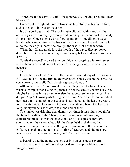"If *we. get* to the cave ..." said Hiccup nervously, looking up at the sheer black cliff.

Hiccup put the lighted torch between his teeth to leave his hands free, and started climbing after the others.

It was a perilous climb. The rocks were slippery with snow and the other boys were thoroughly overexcited, making the ascent far too quickly. At one point Clueless missed his footing and fell -- luckily onto Dogsbreath, who caught him by the back of the trousers and heaved him back on to the rock again, before he brought the whole lot of them down.

When they finally made it to the mouth of the cave, Hiccup looked down briefly at the sea pounding the rocks way below, and swallowed very hard ...

"Untie the ropes!" ordered Snotlout, his eyes popping with excitement at the thought of the dangers to come. "Hiccup goes into the cave first because

18

**HE** is the son of the Chief. ..." He sneered. "And, if any of the dragons ARE awake, he'll be the first to know about it! Once we're in the cave, it's every man for himself. Only the strong can belong. ..."

Although he wasn't your usual mindless thug of a Hooligan, Hiccup wasn't a wimp, either. Being frightened is not the same as being a coward. Maybe he *was* as brave as anyone else there, because he went to catch a dragon *despite* knowing what dragons are like. And, when he had climbed perilously to the mouth of the cave and had found that inside there was a long, twisty tunnel, he *still* went down it, despite not being too keen on long, twisty tunnels with dragons at the end of them.

The tunnel was dripping and clammy. At times it was high enough for the boys to walk upright. Then it would close down into narrow, claustrophobic holes that the boys could only just squeeze through, squirming on their stomachs, with the flares held in their mouths.

After ten long minutes of walking and crawling into the heart of the cliff, the stench of dragon -- a salty stink of seaweed and old mackerel heads -- got stronger and stronger, until finally it became

19

unbearable and the tunnel opened out into an enormous cavern.

The cavern was full of more dragons than Hiccup could ever have imagined existed.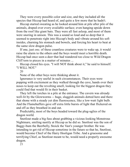They were every possible color and size, and they included all the species that Hiccup had heard of, and quite a few more that he hadn't.

Hiccup started sweating as he looked around him at pile after pile of the animals, draped over every available surface; even hanging upside down from the roof like giant bats. They were all fast asleep, and most of them were snoring in unison. This was a sound so loud and so deep that it seemed to penetrate right into Hiccup's body and vibrate around his soft insides, churning his stomach and bowels, and forcing his heart to beat at the same slow dragon pulse.

If one, just *one,* of these countless creatures were to wake up, it would raise the alarm to the others and the boys would meet a horrible death. Hiccup had once seen a deer that had wandered too close to Wild Dragon Cliff torn to pieces in a matter of minutes ...

Hiccup closed his eyes. "I will NOT think about it," he said to himself. "I WILL NOT."

20

None of the other boys were thinking about it.

Ignorance is very useful in such circumstances. Their eyes were popping with excitement as they walked through the cave, hands over their noses to keep out the revolting smell, looking for the biggest dragon they could find that would fit in their basket.

They left the torches in a pile at the entrance. The cavern was already well-lit by the Glowworms -- huge, sluggish animals dotted here and there that shone with a steady yet dim fluorescence, like a low-watt light bulb. And the Flamehuffers gave off extra little bursts of light that flickered on and off as they breathed in and out.

Predictably, most of the boys headed toward the plug-uglies of the dragon world.

Snotlout made a big fuss about grabbing a vicious-looking Monstrous Nightmare, smiling nastily at Hiccup as he did so. Snotlout was the son of Baggy-bum the Beerbelly, Stoick the Vast's younger brother. He was intending to get rid of Hiccup sometime in the future so that he, Snotlout, would become Chief of the Hairy Hooligan Tribe. And a gruesome and terrifying Chief, as Snotlout meant to be, would need a properly awesome dragon.

21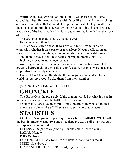Wartihog and Dogsbreath got into a loudly whispered fight over a Gronckle, a heavily-armored brute with fangs like kitchen knives sticking out in such numbers that it couldn't keep its mouth shut. Dogsbreath won, then managed to drop it as he was trying to bundle it into his basket. The weaponry of the beast made a horribly loud clatter as it landed on the floor of the cavern.

The Gronckle opened its evil, crocodile eyes.

Everybody held their breath.

The Gronckle stared ahead. It was difficult to tell from its blank expression whether it was awake or fast asleep. Hiccup realized, in an agony of suspense, that the gossamer-thin third eyelid was still down.

And there it stayed for a few heart-stopping moments, until...

It slowly closed its upper eyelids again.

Amazingly, not one of the other dragons woke up. A few grumbled groggily before making themselves comfy again. But most were in such a stupor that they barely even stirred.

Hiccup let out his breath. Maybe these dragons were so dead to the world that *nothing* would wake them from their slumber.

22

[VIKING DRAGONS and THEIR EGGS

## **GRONCKLE**

The Gronckle is the plug-ugly 0f the dragon world. But what it lacks in looks, it makes up for on the battlefield. They can

be slow and, dare I say it, stupid  $\sim$  and sometimes they get so fat that they are unable to take *off*. They are also prone to dragon acne.

## **STATISTICS**

COLORS: Snot green, bogey beige, pooey brown. ARMED WITH: All the best in dragon weaponry. Fangs like daggers, extra spike on *neck, hall* with spikes on end of tail 8

DEFENSES: Super-thick, *flame-proof* and scratch-proof skin 9 RADAR: None 0 POISON: None 0 HUNTING ABILITY: Gronckles are slow to maneuver in the air 0 SPEED: See above 5 FEAR AND FIGHT FACTOR: Terrifying *in* action 9]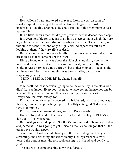23

He swallowed hard, muttered a prayer to Loki, the patron saint of sneaky exploits, and edged forward cautiously to grab the most unconscious-looking dragon, so he could get out of this nightmare as fast as possible.

It is a little-known fact that dragons grow colder the deeper they sleep.

It is even possible for dragons to go into a sleep coma in which they are icy cold, with no obvious pulse, or breath, or heartbeat. They can stay in this state for centuries, and only a highly skilled expert can tell from looking at them if they are alive or dead.

But a dragon who is awake or lightly sleeping is very warm indeed, like bread that has just come out of the oven.

Hiccup found one that was about the right size and fairly cool to the touch and maneuvered it into his basket as quickly and carefully as he could. It was a very basic Basic Brown, but at that moment Hiccup could not have cared less. Even though it was barely half-grown, it was surprisingly heavy.

"I DID it, I DID it, I DID it!" he chanted happily 24

to himself. At least he wasn't going to be the only boy in the class who didn't have a dragon. Everybody seemed to have gotten themselves one by now and they were all making their way quietly toward the exit. Everybody, that was, except for . . .

Fishlegs, who was already covered in a bright red, itchy rash, and was at that very moment approaching a pile of knottily entangled Nadders on very loud tiptoes.

Fishlegs was even worse at burglary than Dogs-breath.

Hiccup stopped dead in his tracks. "Don't do it, Fishlegs -- PLEASE don't do it!" he whispered.

But Fishlegs was fed up with Snotlout's taunting and of being sneered at and jeered at. He was going to get himself a really cool dragon that all the other boys would respect.

Squinting so hard he could barely see the pile of dragons, his eyes streaming, and scratching himself violently, Fishlegs reached slowly toward the bottom-most dragon, took one leg in his hand, and gently . .. yanked.

The entire pile came crashing down in a furious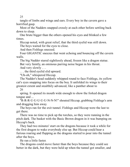25

tangle of limbs and wings and ears. Every boy in the cavern gave a horrified gasp.

Most of the Nadders snapped crossly at each other before settling back down to sleep.

One brute bigger than the others opened his eyes and blinked a few times.

Hiccup noted, with great relief, that the third eyelid was still down. The boys waited for the eyes to close.

And then Fishlegs sneezed.

Four GIGANTIC sneezes that went echoing and bouncing off the cavern walls.

The big Nadder stared sightlessly ahead, frozen like a dragon statue. But very faintly, an ominous purring noise began in his throat. And very slowly . . .

. . . the third eyelid slid upward.

"Uh-oh," whispered Hiccup.

The Nadder's head suddenly whipped round to face Fishlegs, its yellow cat's eyes snapping into focus on the boy. It unfolded its wings to their greatest extent and stealthily advanced, like a panther about to

26

spring. It opened its mouth wide enough to show the forked dragon tongue and ...

"R-R-R-U-U-U-U-U-N-N-N!" shouted Hiccup, grabbing Fishlegs's arm and dragging him away.

The boys ran for the exit tunnel. Fishlegs and Hiccup were the last to get there.

There was no time to pick up the torches, so they were running in the pitch dark. The basket with the Basic Brown dragon in it was bumping on Hiccup's back.

They had two minutes' start on the dragons because it took a while for the first dragon to wake everybody else up. But Hiccup could hear a furious roaring and flapping as the dragons started to pour into the tunnel after the boys.

He ran a little faster.

The dragons could move faster than the boys because they could see better in the dark, but they were held up when the tunnel got smaller, and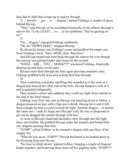they had to fold their wings up to squirm through.

"I. . . haven't. . . got. . . a . . . dragon," panted Fishlegs, a couple of paces behind Hiccup.

"That," said Hiccup, as he scrambled frantically on his elbows through a narrow bit, "is the LEAST ... *ow* ... of our problems. They're gaining on us!"

27

"No ... dragon," repeated Fishlegs stubbornly.

"Oh, for THOR'S SAKE," snapped Hiccup.

He thrust his basket into Fishlegs's arms and grabbed the empty one from Fishlegs's back. "Have MINE, then. Wait here."

And Hiccup turned and went back through the narrow bit even though the roaring was getting louder and closer by the second.

"WHAT... ARE ,.. YOU ,,. DOING???" screamed Fishlegs, frantically dancing up and down on the spot.

Hiccup came back through the hole again precious moments later. Fishlegs grabbed hold of an arm to help haul him through.

28

They could hear a horrible snuffling that sounded as if the nose of a dragon had entered the other end of the hole. Hiccup bunged a rock at it and it squealed indignantly.

They turned a corner and suddenly they could see light from outside at the end of the final tunnel.

Fishlegs went first, but, just as Hiccup was kneeling down to follow, a dragon pounced on him with a flap and a shriek. Hiccup hit it and it fell back enough for him to crawl toward the light. Another dragon -- or maybe the same one -- sank its fangs into Hiccup's calf. He was so desperate to get out he dragged the animal through with him.

As soon as Hiccup's head and shoulders were through into the light, there was Gobber. He grabbed Hiccup under the armpits and hauled him out, dragons pouring after him.

"JUMP!" yelled Gobber, as he stunned a dragon with one blow of his mighty fist.

"What do you *mean,* JUMP??" Hiccup hesitated as he looked down at the dizzying drop into the sea.

"No time to climb down," panted Gobber, banging a couple of dragons' heads together, and bouncing three more off his gigantic belly. "JUMP!!!"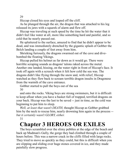29

Hiccup closed his eyes and leaped off the cliff.

As he plunged through the air, the dragon that was attached to his leg released its jaws with a squawk of alarm and flew off.

Hiccup was traveling at such speed by the time he hit the water that it didn't feel like water at all, more like something hard and painful, and so cold that he nearly passed out.

He spluttered to the surface, amazed to find that he didn't appear to be dead, and was immediately drenched by the gigantic splash of Gobber the Belch landing a couple of feet away from him.

Shrieking furiously, the dragons swarmed out of the cave and divebombed the floating Vikings.

Hiccup pulled his helmet as far down as it would go. There were horrible scraping sounds as dragons' talons raked across the metal. Another one landed, hissing, on the water right in front of Hiccup's face. It took off again with a screech when it felt how cold the sea was. The dragons didn't like flying through the snow and, with relief, Hiccup watched as they flew back to scream terrible dragon insults in Dragonese from the warmth of the cave entrance.

Gobber started to pull the boys out of the sea 30

and onto the rocks. Viking boys are strong swimmers, but it is difficult to keep afloat when you have a basket full of trapped, terrified dragons on your back. Hiccup was the last to be saved -- just in time, as the cold was beginning to put him to sleep.

*Well, at least that wasn't DEATH,* thought Hiccup as Gobber grabbed him by the neck to rescue him, nearly drowning him again in the process - *but it certainly wasn't GLORY, either.*

31

## **Chapter 3 HEROES OR EXILES**

The boys scrambled over the slimy pebbles at the edge of the beach and back up Madman's Gully, the gorge they had climbed through a couple of hours before. This was a narrow crack in the cliffs filled with large rocks. They tried to move as quickly as they could, but this is difficult when you are slipping and sliding over huge stones covered in ice, and they made painfully slow progress.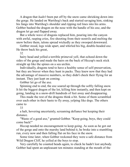A dragon that *hadn't* been put off by the snow came shrieking down into the gorge. He landed on Wartihog's back and started savaging him, sinking his fangs into Wartihog's shoulder and ripping red lines into his arms. Gobber bashed the dragon on the nose with the handle of his axe, and the dragon let go and flapped away.

But a whole wave of dragons replaced him, pouring into the canyon with awful, rasping cries, fire shooting from their nostrils and melting the snow before them, talons spread wickedly as they swooped downward.

Gobber stood, legs wide apart, and whirled his big, double-headed axe. He threw back his great,

32

hairy head and yelled a terrible primeval yell, that echoed down the sides of the gorge and made the hairs on the back of Hiccup's neck stick straight up like the spines on a sea urchin.

Individually, dragons tend to have a healthy sense of self-preservation, but they are braver when they hunt in packs. They knew now that they had the advantage of massive numbers, so they didn't check their flying for an instant. They just kept on coming.

Gobber let go of the axe.

Spinning end to end, the axe soared up through the softly falling snow. It hit the biggest dragon of the lot, killing him instantly, and then kept on going, landing in a snow-drift hundreds of feet away and disappearing.

This made the rest of the dragons think a bit. Some of them scrambled over each other in their haste to fly away, yelping like dogs. The others came to

33

a halt, hovering uncertainly, screaming defiance but keeping their distance.

"Waste of a good axe," grunted Gobber. "Keep going, boys, they could come back!"

Hiccup needed no encouragement to keep going. As soon as he got out of the gorge and onto the marshy land behind it, he broke into a stumbling run, every now and then falling flat on his face in the snow.

Some time later, when Gobber reckoned they were a safe distance from Wild Dragon Cliff, he yelled at the boys to stop.

Very carefully he counted heads again, to check he hadn't lost anybody. Gobber had spent an unpleasant ten minutes standing at the mouth of the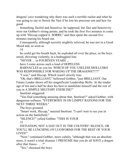dragons' cave wondering why there was such a terrible racket and what he was going to say to Stoick the Vast if he lost his precious son and heir for good.

Something Tactful and Sensitive, he supposed, but Tact and Sensitivity were not Gobber's strong points, and he took the first five minutes to come up with "Hiccup copped it. SORRY," and then spent the second five minutes tearing his beard out.

Consequently, although secretly mightily relieved, he was not in a Good Mood and, as soon as

34

he could get his breath back, he exploded all over the place, as the boys stood, shivering violently, in a bedraggled line.

"NEVER ... in FOURTEEN YEARS .,.

have I come across such a load of HOPELESS

BARNACLES as you lot. WHICH OF YOU USELESS MOLLUSKS WAS RESPONSIBLE FOR WAKING UP THE DRAGONS????"

"I was," said Hiccup. Which wasn't strictly true.

"Oh, that's BRILLIANT," bellowed Gobber, "just BRILLIANT. Our Future Leader shows off his magnificent Leadership Skills. At the tender age of ten and a half he does his best to annihilate himself and the rest of you in A SIMPLE MILITARY EXERCISE!"

Snotlout sniggered.

"You find something amusing about that, Snotlout?" asked Gobber, with dangerous softness. "EVERYBODY IS ON LIMPET RATIONS FOR THE NEXT THREE WEEKS."

The boys groaned.

"Smart work, Hiccup," sneered Snotlout. "I can't wait to see you in action on the battlefield."

"SILENCE!" yelled Gobber. "THIS IS YOUR

35

INITIATION, NOT A DAY OUT IN THE COUNTRY! SILENCE, OR YOU'LL BE LUNCHING *ON* LUGWORMS FOR THE REST OF YOUR LIVES!"

"Now," continued Gobber, more calmly, "although that was an absolute mess, it wasn't a total disaster. I PRESUME that you do all HAVE a dragon after that fiasco . . . ?"

"Yes," chorused the boys.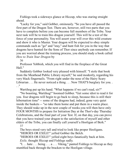Fishlegs took a sideways glance at Hiccup, who was staring straight ahead.

"Lucky for you," said Gobber, ominously. "So you have all passed the first part of the Dragon Test. There are, however, still two parts that you have to complete before you can become full members of the Tribe. Your next task will be to train this dragon yourself. This will be a test of the force of your personality. You will assert your will over this wild creature and show it who is Master. Your dragon will be expected to obey simple commands such as "go" and "stay," and hunt fish for you in the way that dragons have hunted for the Sons of Thor since anybody can remember. If you are worried about the training process, you should study a book called *How to Train Your Dragon* by

36

Professor Yobbish, which you will find in the fireplace of the Great Hall."

Suddenly Gobber looked very pleased with himself. "I stole that book from the Meathead Public Library myself," he said modestly, regarding his very black fingernails. "From right under the nose of the Hairy Scary Librarian . . . He never noticed a thing . . . Now THAT'S burglary for you. .  $\mathbf{r}$ 

Wartihog put up his hand. "What happens if we can't read, sir?"

"No boasting, Wartihog!" boomed Gobber. "Get some idiot to read it for you. *Yout* dragons will begin to go back to sleep, because this is still their hibernation time" -- some of the dragons had, indeed, gone very quiet inside the baskets -- "so take them home and put them in a warm place. They should wake up in the next couple of weeks.you will then have only FOUR MONTHS to prepare for Initiation Day at the Thor's-day Thursday Celebrations, and the final part of your Test. If, on that day, you can prove that you have trained your dragon to the satisfaction of myself and other elders of the Tribe, you can finally call yourself a Hooligan of Berk."

37

The boys stood very tall and tried to look like proper Hooligans.

"HEROES OR EXILE!" yelled Gobber the Belch.

"HEROES OR EXILE!" yelled eight boys fanatically back at him. *Exile,* thought Hiccup and Fishlegs sadly.

"I. . . hate . . . being . . . a . . . Viking," panted Fishlegs to Hiccup as they stumbled back through the bracken to the Hooligan village.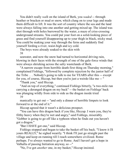You didn't really *walk* on the island of Berk, you *waded* -- through heather or bracken or mud or snow, which clung on to your legs and made them difficult to lift. It was the sort of country where the sea and the land were always falling into one another and getting mixed up. The island was shot through with holes burrowed by the water, a maze of criss-crossing underground streams. You could put your foot on a solid-looking piece of grass and find yourself disappearing up to your thigh in black, sticky mud. You could be making your way through the ferns and suddenly find yourself fording a river, waist-high and icy cold.

The boys were already soaked to the skin with 38

seawater, and now the snow had turned to horizontal driving rain, blowing in their faces with the strength of one of the gale-force winds that were always shrieking across the salty wastelands of Berk.

"A narrow escape from horrible death first thing on Thursday morning," complained Fishlegs, "followed by complete rejection by the junior half of the Tribe . . . Nobody's going to talk to me for YEARS after this -- except for you, of course, Hiccup, but then you're just a weirdo like me -- "

"Thank you," said Hiccup.

"And on top of everything," continued Fishlegs bitterly, "a two-mile run carrying a deranged dragon on my back" -- the basket on Fishlegs' back was plunging wildly from side to side as the dragon inside tried

39

manically to get out -- "and only a dinner of horrible limpets to look forward to at the end of it."

Hiccup agreed that it wasn't a delicious prospect.

"You can have this dragon back if you like, Hiccup. I warn you, they're filthy heavy when they're wet and angry," said Fishlegs, miserably. "Gobber is going to go off like a typhoon when he finds out you haven't got a dragon."

"But I HAVE got one," said Hiccup.

Fishlegs stopped and began to take the basket off his back. "I know it IS yours REALLY," he sighed wearily. "I think I'll just go straight past the village and keep on running till I reach somewhere civilized. Rome perhaps. I've always wanted to go to Rome. And I haven't got a hope in Valhalla of passing Initiation anyway, so --"

"No, I've got *another* one, in my basket," Hiccup insisted.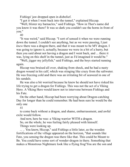Fishlegs' jaw dropped open in disbelief.

"I got it when I went back into the tunnel," explained Hiccup.

"Well, blister my barnacles," said Fishlegs. "How in Thor's name did you know it was there? It was so dark you couldn't see the horns in front of you."

40

"It was weird," said Hiccup. "I sort of sensed it when we were running down the tunnel. I couldn't see anything, but as we were passing, I just *knew* there was a dragon there, and that it was meant to be MY dragon. I was going to ignore it, actually, because we were in a bit of a hurry, but then you said about not having a dragon and I went back, and ... there it was, lying on this shelf in the tunnel, just as I'd imagined it would be."

"Well, jigger my jellyfish," said Fishlegs, and the boys started running again.

Hiccup was bruised all over, shaking from shock, and he had a nasty dragon wound in his calf, which was stinging like crazy from the saltwater. He was freezing cold and there was an irritating bit of seaweed in one of his sandals.

He was also a bit worried because he knew he should not have risked his life trying to get a dragon for Fishlegs. This was not the act of a Viking Hero. A Viking Hero would know not to intervene between Fishlegs and his Fate.

On the other hand, Hiccup had been worrying about Dragon-catching Day for longer than he could remember. He had been sure he would be the only one

41

to come back without a dragon, and shame, embarrassment, and awful exile would follow.

And now, here he was: a Viking warrior WITH a dragon.

So, on the whole, he was feeling fairly pleased with himself. Things were looking up.

*... ..* You know, Hiccup," said Fishlegs a little later, as the wooden fortifications of the village appeared on the horizon, "that sounds like Fate, you sensing the dragon was there like that. This could be Meant to Be. You could have some sort of wonder-dragon in there. Something that makes a Monstrous Nightmare look like a flying frog!You are the son and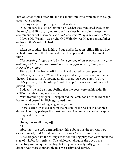heir of Chief Stoick after all, and it's about time Fate came in with a sign about your destiny."

The boys stopped, puffing with exhaustion.

"Oh, I'm sure it's just a Common or Garden that wandered away from the rest," said Hiccup, trying to sound careless but unable to keep the excitement out of his voice. *He could have something marvelous in there!*

Maybe Old Wrinkly was right. Old Wrinkly was Hiccup's grandfather on his mother's side. He had

42

taken up soothsaying in his old age and he kept on telling Hiccup how he had looked into the future and that Hiccup was destined for great things.

*This amazing dragon could be the beginning of his transformation from ordinary old Hiccup, who wasn't particularly good at anything, into a Hero of the Future!*

Hiccup took the basket off his back and paused before opening it.

"It's very still, isn't it?" said Fishlegs, suddenly less certain of the Fate theory. "I mean, it isn't moving at all in there. Are you sure it's alive?"

"It's just very deeply asleep," said Hiccup. "It was stone cold when I picked it up."

Suddenly he had a strong feeling that the gods were on his side. He KNEW that this dragon was alive.

With trembling fingers, Hiccup undid the latch, took off the lid of the basket, and peered in. Fishlegs joined him.

Things weren't looking so good anymore.

There, curled up fast asleep in the bottom of the basket in a tangled dragon knot, lay perhaps the most common Common or Garden Dragon Hiccup had ever seen.

43

[Image: A small dragon]]

44

Absolutely the *only* extraordinary thing about this dragon was how extraordinarily SMALL it was. In this it was *truly* extraordinary.

Most dragons that the Vikings used for hunting purposes were about the size of a Labrador retriever. The adolescent dragons the boys were collecting weren't quite that big, but they *were* nearly fully grown. This dragon was more comparable to a West Highland Terrier.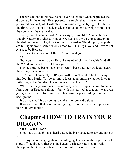Hiccup couldn't think how he had overlooked this when he picked the dragon up in the tunnel. He supposed, miserably, that it was rather a pressured moment, what with three thousand dragons trying to kill him at the time. And dragons in a deep Sleep Coma do tend to weigh more than they do when they're awake.

"Well," said Hiccup at last, "that's a sign, if you like. Youreach for a Deadly Nadder and what do you get? A Basic Brown. I grab a dragon in the dark and what do I get? A Common or Garden. The thing is, the gods are telling us we're Common or Garden folk, Fishlegs. You and I, we're not *meant* to be Heroes."

"It doesn't matter about ME . . . ," said Fishlegs,

45

"but you *are* meant to be a Hero. Remember? Son of the Chief and all that? And you *will* be one, I know you will. . . ."

Fishlegs put the basket back on Hiccup's back and they trudged toward the village gates together.

"... At least, I sincerely HOPE you will. I don't want to be following Snotlout into battle. You've got more ideas about military tactics in your little finger than Snotlout has in his whole fat head. ..."

While that may have been true, not only was Hiccup *not* about to be the future star of Dragon training -- but with this particular dragon it was even going to be difficult for him to take his familiar place fading into the background.

It was so small it was going to make him look ridiculous.

It was so small that Snotlout was going to have some very unpleasant things to say about it.

46

## **Chapter 4 HOW TO TRAIN YOUR DRAGON**

### **"HA HA HA HA!"**

Snotlout was laughing so hard that he hadn't managed to say anything at all.

The boys were hanging about the village gates, taking the opportunity to show off the dragons that they had caught. Hiccup had tried to walk through without being noticed, but Snotlout had stopped him.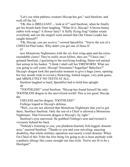"Let's see what pathetic creature Hiccup has got," said Snotlout, and took off the lid.

"Oh, this is BRILLIANT -- look at it!" said Snotlout, when he finally got his breath back from laughing. "What IS it, Hiccup? A brown bunny rabbit with wings? A flower fairy? A fluffy flying frog? Gather round everybody and see the magnif icent animal that Our Future Leader has caught himself!"

"Oh, Hiccup, you are *useless,"* crowed Speedifist. "You're the son of a CHIEF,forThor'ssake. Why didn't you get one of those If

47

new Monstrous Nightmares with the six-foot wing-span and the extraextendable claws? They're really *mean* killers, they are.""I have one," grinned Snotlout, *I* gesturing to the terrifying-looking, flame-red animal fast asleep in his basket. "I think I shall call her FIREWORM. What are you going to call yours, Hiccup? Sweetums? Sugarlips? Babyface?" Hiccup's dragon took this particular moment to give a huge yawn, opening his tiny mouth wide to reveal a flickering, forked tongue, very pink gums, and ABSOLUTELY NO TEETH AT ALL.

Snotlout laughed so hard, Speedifist had to hold him upright. 48

"TOOTHLESS!" cried Snotlout. "Hiccup has found himself the only TOOTHLESS dragon in the uncivilized world! This is too good. Hiccup the

USELESS and his dragon, TOOTHLESS!"

Fishlegs leaped to Hiccup's defense.

"Well, *you* are not allowed that Monstrous Nightmare that you've got there, Snotface Snotlout. Only the son of a Chief is allowed a Monstrous Nightmare. That Fireworm dragon is Hiccup's, by right."

Snotlout's eyes narrowed. He grabbed Fishlegs's arm and twisted it viciously behind his back.

"Nobody's listening to you, you plankton-hearted, fish-legged, disaster area," sneered Snotlout. "Thanks to you and your sniveling, sneezing disability, that whole military operation was nearly a total disaster. When I'm Chief of this Tribe the first thing I'm going to do is boot anybody with a pathetic allergy like yours straight out into exile. You're not fit to be a Hooligan!"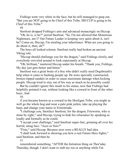Fishlegs went very white in the face, but he still managed to gasp out, "But you are NOT going to be Chief of this Tribe. HICCUP is going to be Chief of this Tribe."

49

Snotlout dropped Fishlegs's arm and advanced menacingly on Hiccup.

"Oh, he is, is he?" jeered Snotlout. "So, I'm not allowed that Monstrous Nightmare, am I? Our Future Leader is keeping very quiet about it, isn't he? Come on, Hiccup, I'm stealing your inheritance. What are you going to do about it, then, eh?"

The boys all looked solemn. Snotlout really had broken an ancient Viking rule.

"Hiccup should challenge you for the dragon," said Fishlegs slowly, and everybody swiveled around to look expectantly at Hiccup.

"Oh, brilliant," muttered Hiccup under his breath. "Thank you, Fishlegs. My day just gets better and better."

Snotlout was a great brute of a boy who didn't really need Dogsbreath's help when it came to bashing people up. He wore specially constructed, bronze-tipped sandals in order to cause maximum damage when kicking people. Hiccup tried to stay out of his way as much as he possibly could.

But he couldn't ignore this insult to his status, now that Fishlegs had helpfully pointed it out, without looking like a coward in front of the other boys. And

50

if you became known as a coward in the Hooligan Tribe, you might as well go the whole hog and wear a pale pink jerkin, take up playing the harp, and change your name to Ermintrude.

"I challenge you, Snotface Snotlout, for the dragon, Fireworm, who is mine by right," said Hiccup, trying to hide his reluctance by speaking as loudly and formally as he could.

"I accept your challenge," said Snotlout super-fast, grinning all over his horrid, smug face. "Axes or fists?"

"Fists," said Hiccup. Because axes were a REALLY bad idea.

"I shall look forward to showing you how a real Future Hero fights," said Snotlout, and then he

51

remembered something, "AFTER the Initiation thing on Thor'sday Thursday, though. I don't want to stub my toe or anything while I'm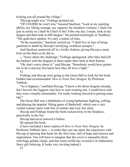kicking you all around the village."

"Hiccup might win," Fishlegs pointed out.

"OF COURSE he won't win," boasted Snotlout. "Look at my sporting ability, my Viking courage, my capacity for mindless violence. I shall win just as surely as I shall be Chief of this Tribe one day. I mean, look at my dragon and then look at HIS dragon." He pointed mockingly at Toothless. "The gods have spoken. It's only a matter of time.

"In the meantime," Snotlout carried on, "I shall live in fear of being gummed to death by Hiccup's terrifying, toothless terrapin."

And Snotlout sauntered off in a lordly fashion, giving Hiccup a nasty kick on the shins as he did so.

*...* "Sorry about the challenge," Fishlegs apologized, after they had left the baskets with the dragons in them under their beds at their homes.

"Oh, don't worry about it," said Hiccup. "Somebody would have gotten me to do it anyway.You know how they all love a fight."

52

Fishlegs and Hiccup were going to the Great Hall to look for the book Gobber had recommended: *How to Train Your Dragon,* by Professor Yobbish.

"As it happens," confided Hiccup, "I know a bit about dragons already, but I haven't the foggiest clue how to start training one. I would have said they were virtually untrainable. I'm really looking forward to getting some tips."

The Great Hall was a hullabaloo of young barbarians fighting, yelling, and playing the popular Viking game of Bashyball, which was a very violent contact sport with lots of contact and very few rules.

Hiccup and Fishlegs found the book tucked away in the fireplace, practically in the fire.

Hiccup had never noticed it before.

He opened the book.

(I have included a basic replica of *How to Train Your Dragon,* by Professor Yobbish, here -- in order that you can share the experience with Hiccup of opening that book for the first time, full of hope and interest and expectation. You will have to imagine that the cover is unusually thick, with huge golden clasps, and that some scribe has covered it in elaborately fancy gilt lettering. It looks very inviting indeed.)

53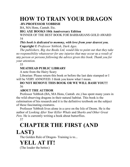# **HOW TO TRAIN YOUR DRAGON**

### **-BY-PROFESSOR YOBBISH**

BA, MA Hons, Cantab. Etc.

**BIG AXE BOOKS 10th Anniversary Edition**

WINNER OF THE BEST BOOK FOR BARBARIANS GOLD AWARD 54

### *This book is dedicated to mommy, with love from your dearest you.*

**Copyright ©** *Professor Yobbish, Dark Ages.*

*The publishers, Big Axe Books Ltd, would like to point out that they take no responsibility whatsoever for any injuries that may occur* as *a result of* any *person or persons following the advice given this book. Thank you for your attention.*

55

### **MEATHEAD PUBLIC LIBRARY**

A note from the Hairy Scary

Librarian: Please return this book or before the last date stamped or I will be VERY ANNOYED. I think you know what I mean.

### **DO NOT REMOVE THIS BOOK OR WE WILL BASH YOU!!!** 56

### **ABOUT THE AUTHOR**

Professor Yobbish (BA, MA Hons, Cantab. etc.) has spent many years in the wild observing dragons in their natural habitat. This book is the culmination of his research and it is the definitive textbook on the subject of these fascinating creatures.

Professor Yobbish lives alone in a cave on the Isle of Doom. He is the author of *Looking After Your Killer Whale* and *Sharks and Other Great Pets.* He is currently writing a book about butterflies.

57

# **CHAPTER THE FIRST (AND LAST)**

The Golden Rule of Dragon- Training is to...

## **YELL AT IT!**

(The louder the better.)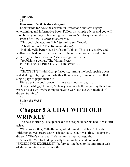THE END

58

### **How would YOU train a dragon?**

Look inside for ALL the answers in Professor Yobbish's hugely entertaining, and informative book. Follow his simple advice and you will soon be on your way to becoming the Hero you've always wanted to be...

Praise for How *To Train Your Dragon:*

"This book changed my life." *Squidface the Terrible*

"A brilliant book." The *MeatheadMonthly*

"Nobody yells better than Professor Yobbish. This is a sensitive and well-researched book that contains all the information you need to turn your dragon into a pussy cat." *The Hooligan observer*

"Yobbish is a genius."The Viking *Times*

PRICE: 1 SMAUISH CHICKEN 20 OYSTERS

59

"THAT'S IT??!" said Hiccup furiously, turning the book upside down and shaking it, trying to see whether there was anything other than that single page of paper inside it.

Hiccup put the book down. His face was unusually grim.

"Okay, Fishlegs," he said, "unless you're any better at yelling than I am, we're on our own. We're going to have to work out our *own* method of dragon training."

60

Stoick the VAST

61

## **Chapter 5 A CHAT WITH OLD WRINKLY**

The next morning, Hiccup checked the dragon under his bed. It was still asleep.

When his mother, Valhallarama, asked him at breakfast, "How did Initiation go yesterday, dear?" Hiccup said, "Oh, it was fine. I caught my dragon." "That's nice, dear," Valhallarama replied vaguely.

Stoick the Vast looked up briefly from his bowl and boomed, "EXCELLENT, EXCELLENT," before getting back to the important task of shoveling food into his mouth.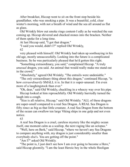After breakfast, Hiccup went to sit on the front step beside his grandfather, who was smoking a pipe. It was a beautiful, cold, clear winter's morning, with not a breath of wind and the sea all around as flat as glass.

Old Wrinkly blew out smoke rings content-I edly as he watched the sun coming up. Hiccup shivered and chucked stones into the bracken. Neither of them spoke for a long time.

At last Hiccup said, "I got that dragon."

"I said you would, didn't I?" replied Old Wrinkly,

62

very pleased with himself. Old Wrinkly had taken up soothsaying in his old age, mostly unsuccessfully. Looking into the future is a complicated business. So he was particularly pleased that he'd gotten this right.

"Something extraordinary, you said," complained Hiccup. "A truly *unusual* dragon, you said. An animal that would really make me stand out in the crowd."

"Absolutely," agreed Old Wrinkly. "The entrails were undeniable."

"The *only* extraordinary thing about this dragon," continued Hiccup, "is how *extraordinarily* SMALL it is. In that it *is* super-unusual. I'm even more of a laughingstock than ever."

"Oh, dear," said Old Wrinkly, chuckling in a wheezy way over his pipe.

Hiccup looked at him reproachfully. Old Wrinkly hurriedly turned the laugh into a cough.

"Size is all relative, Hiccup," said Old Wrinkly. "ALL of these dragons are super-small compared to a real Sea Dragon. A REAL Sea Dragon is fifty *times* as big as that little creature. A real Sea Dragon from the bottom of the ocean can swallow ten large Viking ships in one gulp and not even notice.

63

A real Sea Dragon is a cruel, careless mystery like the mighty ocean itself, one moment calm as a scallop, the next raging like an octopus."

"Well, here on Berk," said Hiccup, "where we haven't any Sea Dragons to compare anything with, my dragon is just considerably smaller than everybody else's. You are getting off the point."

"Am I?" asked Old Wrinkly.

"The point is, I just don't see how I am ever going to become a Hero," said Hiccup gloomily. "I am the least Heroic boy in the whole Hooligan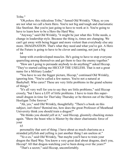Tribe."

*"Oh.pshaw,* this ridiculous Tribe," fumed Old Wrinkly. "Okay, so you are not what we call a born Hero. You're not big and tough and charismatic like Snotlout. But you're just going to have to work at it. You're going to have to learn how to be a Hero the Hard Way.

"Anyway," said Old Wrinkly, "it might be just what this Tribe needs, a change in leadership style. Because the thing is, times are changing. We can't get away with being bigger and more violent than everybody else any more. IMAGINATION. That's what they need and what you've got. A Hero of the Future is going to have to be clever and cunning, not just a big

64

lump with overdeveloped muscles. He's going to have to stop everyone quarreling among themselves and get them to face the enemy together."

"How am I going to persuade anybody to do anything?" asked Hiccup. "They've started calling me HICCUP THE USELESS. That is not a great name for a Military Leader."

"You have to see the bigger picture, Hiccup," continued Old Wrinkly, ignoring him. "You're called a few names. You're not a natural at Bashyball. Who cares? These are very little problems in the grand scheme of things."

"It's all very well for you to say they are little problems," said Hiccup crossly, "but I have a LOT of little problems. I have to train this supersmall dragon in time for Thor'sday Thursday or be thrown out of the Hairy Hooligan Tribe forever."

"Ah, yes," said Old Wrinkly, thoughtfully. "There's a book on this subject, isn't there? Remind me, how does the great Professor of Meathead University think you should train a dragon?"

"He thinks you should yell at it," said Hiccup, gloomily chucking stones again. "Show the beast who is Master by the sheer charismatic force of your

65

personality that sort of thing. I have about as much charisma as a stranded jellyfish and yelling is just another thing I am useless at."

"Ye-e-es," said Old Wrinkly, "but maybe you'll have to train your dragon the Hard Way. You know a very great deal about dragons, don't you, Hiccup? All that dragon-watching you've been doing over the years?"

"That's a secret," said Hiccup, uncomfortably.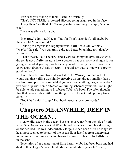"I've seen you talking to them," said Old Wrinkly.

"That's NOT TRUE," protested Hiccup, going bright red in the face.

"Okay, then," soothed Old Wrinkly, calmly smoking his pipe, "it's not true."

There was silence for a bit.

66

"It *is* true," admitted Hiccup, "but for Thor's sake don't tell anybody, they wouldn't understand."

"Talking to dragons is a highly unusual skill," said Old Wrinkly. "Maybe," he said, "you can train a dragon better by talking to it than by yelling at it."

"That's sweet," said Hiccup, "and a very touching thought. However, a dragon is not a fluffy creature like a dog or a cat or a pony. A dragon is not going to do what you say just because you ask it pretty please. From what I know about dragons," said Hiccup, "I should say that yelling was a pretty good method."

"But it has its limitations, doesn't it?" Old Wrinkly pointed out. "I would say that yelling was highly effective on any dragon smaller than a sea lion. And positively suicidal if you try it on anything larger. Why don't you come up with some alternative training schemes yourself? You might be able to add something to Professor Yobbish's book. I've often thought that that book needs a little something extra ... I can't quite put my finger on it. . ."

"WORDS," said Hiccup. "That book needs a lot more words." 67

## **Chapter6 MEANWHILE, DEEP IN THE OCEAN...**

Meanwhile, deep in the ocean, but not so very far from the Isle of Berk, a real Sea Dragon such as Old Wrinkly had been describing lay sleeping on the sea-bed. He was indescribably large. He had been there so long that he almost seemed to be part of the ocean floor itself, a great underwater mountain, covered in shells and barnacles, some of his limbs half-buried in the sand.

Generation after generation of little hermit crabs had been born and had died in this Dragon's ears. Hundreds and hundreds of years he'd slept,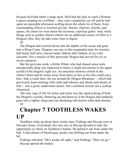because he'd had rather a large meal. He'd had the luck to catch a Roman Legion camping on a clifftop -- they were completely cut off and he had spent an enjoyable afternoon wolfing down the whole lot of them, from commanding officer to lowliest private. Horses, chariots, shields, and spears, the entire lot went down the ravenous, reptilian gullet. And, while things such as golden chariot wheels are an additional source of fiber to a Dragon's diet, they do take some time to digest.

68

The Dragon had crawled down into the depths of the ocean and gone into a Sleep Coma. Dragons can stay in this suspended state for eternity, half-dead, half-alive, buried under fathom after fathom of icy-cold seawater. Not a muscle of this particular Dragon had moved for six or seven centuries.

But the previous week, a Killer Whale who had chased some seals unexpectedly deep was surprised to notice a slight movement in the upper eyelid of the dragon's right eye. An ancestral memory stirred in the whale's brain and he swam away from there as fast as his fins could carry him. And, a week later, the sea around the Dragon Mountain -- which had previously been teeming with crabs and lobsters and shoals and shoals of fish -- was a great, underwater desert. Not a mollusk stirred, not a scallop shimmied.

The only sign of life for miles and miles was the rapid jerking of both the Dragon's eyelids, fluttering up and down as if the Dragon had suddenly gone into a lighter sleep and was dreaming who knows what dark dreams. 69

## **Chapter 7 TOOTHLESS WAKES UP**

Toothless woke up about three weeks later. Fishlegs and Hiccup were at Hiccup's house. Everybody else was out, so Hiccup decided to take the opportunity to check on Toothless's basket. He pulled it out from under the bed. A thin plume of bluish gray smoke was drifting out from under the lid.

Fishlegs whistled. "He's awake all right," said Fishlegs. "Here we go." Hiccup opened the basket.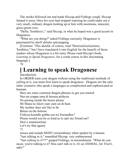The smoke billowed out and made Hiccup and Fishlegs cough. Hiccup fanned it away. Once his eyes had stopped watering he could make out a very small, ordinary dragon looking up at him with enormous, innocent, grass-green eyes.

"Hello, Toothless1," said Hiccup, in what he hoped was a good accent in Dragonese.

"What are you doing?" asked Fishlegs curiously. Dragonese is punctuated by shrill shrieks and popping

[Footnote: 'This should, of course, read "Howiieeliooiieetiere, Toothless," but I have translated it into English for the benefit of those readers whose Dragonese is a bit rusty. Please read Hiccup's book, *Learning to Speak Dragonese,* for a crash course in this fascinating language.]

70

# **[ Learning to speak Dragonese**

Introduction

In ORDER train your dragon without using the traditional methods of yelling at it, you must first learn to speak dragonese . Dragons are the only other creatures who speak a languages as complicated and sophisticated as humans

Here are some common dragon phrases to get you started

Nee-an crappa inna di hoosus pishyou

No pooing inside the house please

Mi Mana no likeit yum yum on di bum

My mother does not like to be

Bitten on the bottom

Fishyou keendle gobha oot mi freeundlee?

Please would you be so kind as to spit my friend out?

Doit a wummortime

Let's try that again]

71

noises and sounds MOST extraordinary when spoken by a human.

"Just talking to it," mumbled Hiccup, very embarrassed.

"Just *talking* to it???" gasped Fishlegs, in astonishment. "What do you *mean,* you're talking to it? If ou can't talk to it, it's an ANIMAL, for Trior's sake!"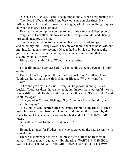"Oh shut up, Fishlegs," said Hiccup, impatiently, "you're frightening it."

Toothless huffed and puffed and blew out some smoke rings. He inflated his neck to make himself look bigger, which is something dragons do when they are scared or angry.

Eventually he got up the courage to unfurl his wings and flap up onto Hiccup's arm. He walked his way up on to Hiccup's shoulder and Hiccup turned his face toward him.

Toothless pressed his forehead onto Hiccup's forehead and gazed deeply and solemnly into Hiccup's eyes. They stayed there, snout to nose, without moving, for about sixty seconds. Hiccup had to blink a lot because the gaze of a dragon is hypnotic and gives the unnerving feeling that it is sucking your soul away.

Hiccup was just thinking, "Wow, this is amazing --

72

I'm really making contact here!" when Toothless bent down and bit him on the arm.

Hiccup let out a yelp and threw Toothless off him. "F-f-flsii," hissed Toothless, hovering in the air in front of Hiccup. "W-w-w-want fish HOW!"

"I haven't got any fish," said Hiccup in Dragonese, rubbing his arm. Luckily Toothless didn't have any teeth, but dragons have powerful jaws so it was still painful. Toothless bit him on the other arm. "F-F-F-FISH!" said Toothless again.

"Are you okay?" asked Fishlegs. "I can't believe I'm asking this, but what's he saying?"

"He wants to eat," replied Hiccup, grimly rubbing both arms. He tried to make his voice sound firm but pleasant; to dominate the creature by the sheer force of his personality, as Gobber had said. "But WE HAVE N0 FISH."

"Okaythen," said Toothless. "Eat e-c-cat."

73

He made a lunge for Fiddlesticks, who streaked up the nearest wall with a yowl of terror.

Hiccup just managed to grab Toothless by the tail as he flew off in pursuit. The dragon struggled wildly, shouting "WABT F-F-FISH BOW! WABT F-F-FOOD NOW! CATS ARE TOMMX WABT FOOD BOW!"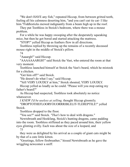"We don't HAVE any fish," repeated Hiccup, from between gritted teeth, feeling all his calmness deserting him, "and you can't eat tie cat- I like him."Fiddlesticks mewed indignantly from a beam high up in the roof.

They put Toothless in Stoick's bedroom, where there was a mouse problem.

For a while he was happy swooping after the desperately squeaking mice, but then he got bored and started attacking the mattress.

"STOP!" yelled Hiccup as feathers flew in all directions.

Toothless replied by throwing up the remains of a recently deceased mouse right in the middle of Stoick's pillow.

74

"Aaaargh!" said Hiccup.

"AAAAAAARGH!" said Stoick the Vast, who entered the room at that very moment.

Toothless launched himself at Stoick the Vast's beard, which he mistook for a chicken.

"Get him off!" said Stoick.

"He doesn't do what I say," said Hiccup.

"Yell VERY LOUDLY at him," Stoick shouted, YERY LOUDLY.

Hiccup yelled as loudly as he could. "Please will you stop eating my father's beard?"

As Hiccup had suspected, Toothless took absolutely no notice whatsoever.

*I KNEW I'd be useless at yelling,* thought Hiccup gloomily.

"DROPTOTHEFLOORYOUORRRIBLELIT-TLEREPTILE!" yelled Stoick.

Toothless dropped to the floor.

"You see?" said Stoick. *"That's* how to deal with dragons."

Newtsbreath and Hookfang, Stoick's hunting dragons, came padding into the room. Toothless stiffened as they paced around him, their yellow eyes glinting evilly. Each was about the size of a leopard, and

75

they were as delighted by his arrival as a couple of giant cats might be by that of a cute little kitten.

"Greetings, fellow firebreather," hissed Newtsbreath as he gave the wriggling newcomer a sniff.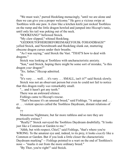"We must wait," purred Hookfang menacingly, "until we are alone and then we can give you a proper welcome." He gave a vicious swipe at Toothless with one paw. A claw like a kitchen knife just nicked Toothless on the rump and the little dragon howled and jumped into Hiccup's tunic, until only his tail was poking out of the neck.

"HOOKFANG!" bellowed Stoick.

"My claw slipped," whined Hookfang.

"GEDDOUTOFHEREBEFOREIMAKEYOUIK-TOHANDBAGS!" yelled Stoick, and Newtsbreath and Hookfang slunk out, muttering obscene dragon curses under their breaths.

"As I was saying," said Stoick the Vast. "THAT'S how to deal with dragons."

Stoick was looking at Toothless with uncharacteristic anxiety.

"Son," said Stoick, hoping there might be some sort of mistake, "is this dragon *your* dragon?"

*"Yes,* father," Hiccup admitted.

76

"It's very . . . well. . . it's very . . . SMALL, isn't it?" said Stoick slowly. Stoick was not an observant person but even *he* could not fail to notice that this dragon really *was* remarkably small.

"... and it hasn't got any teeth."

There was an awkward silence.

Fishlegs came to Hiccup's rescue.

"That's because it's an unusual breed," said Fishlegs. "A unique and . . . er . . . violent species called the Toothless Daydream, distant relations of the

77

Monstrous Nightmare, but far more ruthless and so rare they are practically extinct."

"Really?" Stoick surveyed the Toothless Daydream doubtfully. "It looks just like a Common or Garden to me."

'Ahhh, but with respect, Chief," said Fishlegs, "that's where you're WRONG. To the amateur eye and, indeed, to its prey, it looks *exactly* like a Common or Garden. But if you look a little closer the characteristic Daydream marking" -- Fishlegs pointed to a wart on the end of Toothless's nose -- "marks it out from the more ordinary breed."

"By Thor, you're right!" said Stoick.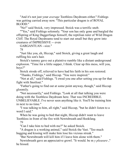"And it's not just your *average* Toothless Daydream either." Fishlegs was getting carried away now. "This particular dragon is of ROYAL BLOOD."

"No!" said Stoick, very impressed. Stoick was a terrific snob.

""Yes," said Fishlegs solemnly. "Your son has only gone and burgled the offspring of King Daggerfangs himself, the reptilian ruler of Wild Dragon Cliff. The Royal Daydreams tend to start out small but they grow into creatures of IMPRESSIVE -- even

GARGANTUAN --size."

78

"Just like you, eh, Hiccup," said Stoick, giving a great laugh and ruffling his son's hair.

Stoick's tummy gave out a plaintive rumble like a distant underground explosion. "Time for a little supper, I think. Clear up this mess, will you, boys?"

Stoick strode off, relieved to have had his faith in his son restored. "Thanks, Fishlegs," said Hiccup. "You were inspired."

"Not at all," said Fishlegs. "I owed you one after setting you up for that fight with Snotlout."

"Father's going to find out at some point anyway, though," said Hiccup gloomily.

"Not necessarily," said Fishlegs. "Look at all that talking you were doing with the Toothless Daydream here. That was INCREDIBLE.

UNBELIEVABLE. I've never seen anything like it. You'll be training him in next to no time."

"I was talking to him, all right," said Hiccup, "but he didn't listen to a word I said."

When he was going to bed that night, Hiccup didn't want to leave Toothless in front of the fire with Newtsbreath and Hookfang.

79

"Can I take him to bed with me?" he asked Stoick.

"A dragon is a working animal," said Stoick the Vast. "Too much hugging and kissing will make him lose his vicious streak."

"But Newtsbreath will kill him if I leave him alone with them."

Newtsbreath gave an appreciative growl. "It would. be m *y pleasure* ," he hissed.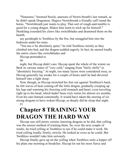"Nonsense," boomed Stoick, unaware of Newts-breath's last remark, as he didn't speak Dragonese. Hegave Newtsbreath a friendly cuff round the horns. "Newtsbreath just wants to play. That sort of rough-and-tumble is good for a young dragon. Makes him learn to stick up for himself." Hookfang extended his claws like switchblades and drummed them on the hearth.

say goodnight to Toothless by the fire, but smuggled him into the bedroom under his tunic.

"You mu *st* be absolutely quiet," he told Toothless sternly as they climbed into bed, and the dragon nodded eagerly. In fact, he snored loudly the entire claws like switchblades and

Hiccup pretended to

80

night, but Hiccup didn't care. Hiccup spent the whole of the winter on Berk in various states of "very cold," ranging from "fairly chilly" to "absolutely freezing." At night, too many layers were considered sissy, so Hiccup generally lay awake for a couple of hours until he had shivered himself into a light sleep.

Now, though, as Hiccup stretched his feet out against Toothless's back, he felt waves of heat coming off the little dragon, gradually creeping up his legs and warming his freezing cold stomach and heart, even traveling right up to his head, which hadn't been *truly* warm for almost six months. Even his ears burned contentedly. It would have taken the snoring of six strong dragons to have woken Hiccup, so deeply did he sleep that night. 81

# **Chapter 8 TRAINING YOUR DRAGON THE HARD WAY**

Hiccup was still pretty certain, knowing dragons as he did, that yelling was the easiest method of training them. So, over the next couple of weeks, he tried yelling at Toothless to see if he could make it work. He tried yelling loudly, firmly, strictly. He looked as cross as he could. But Toothless wouldn't take him seriously.

Hiccup finally gave up on the yelling when Toothless stole a kipper off his plate one morning at breakfast. Hiccup let out his most fierce and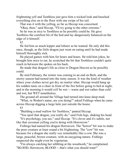frightening yell and Toothless just gave him a wicked look and knocked everything else on to the floor with one swipe of his tail.

That was it with the yelling, as far as Hiccup was concerned.

"Okay, then," said Hiccup, "I'll try going to the other extreme."

So he was as nice to Toothless as he possibly could be. He gave Toothless the comfiest bit of the bed and lay dangerously balanced on the edge of it himself.

82

He fed him as much kipper and lobster as he wanted. He only did this once, though, as the little dragon just went on eating until he had made himself thoroughly sick.

He played games with him for hours and hours. He told him jokes, he brought him mice to eat, he scratched the bit that Toothless couldn't quite reach in between the spokes on his back.

He made that dragon's life as close to Dragon Heaven as he possibly could.

By mid February, the winter was coming to an end on Berk, and the snowy season had turned into the rainy season. It was the kind of weather where your clothes never got dry, no matter what. Hiccup would hang up his sodden tunic on a chair in front of the fire before going to bed at night, and in the morning it would *still* be wet -- warm and wet rather than cold and wet, but WET nonetheless.

The ground all around the Village had turned into knee-deep mud.

"What, in Woden's name, are you doing?" asked Fishlegs when he came across Hiccup digging a large hole just outside the house.

83

"Building a mud wallow for Toothless," panted Hiccup.

"You spoil that dragon, you really do," said Fish-legs, shaking his head.

"It's psychology, you see," said Hiccup. "It's clever and it's subtle, not like that caveman yelling you're doing with Horrorcow."

Fishlegs had named his dragon Horrorcow. The "horror" bit was to make the poor creature at least sound a bit frightening. The "cow" bit was because for a dragon she really *was* remarkably like a cow. She was a large, peaceful, brown creature, with an easygoing nature. Fishlegs suspected she might even be vegetarian.

"I'm always catching her nibbling at the woodwork," he complained. "BLOOD, Horrorcow, BLOOD -- that's what you should want!"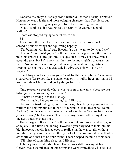Nonetheless, maybe Fishlegs *was* a better yeller than Hiccup, or maybe Horrorcow was a lazier and more obliging character than Toothless, but Horrorcow was proving very easy to train by the yelling method.

"Okay, Toothless, it's read *y,"* said Hiccup. *"Get* yourself a good. wallow."

Toothless stopped trying to catch voles and 84

leaped into the mud. He rolled over and over in the oozy muck, spreading out his wings and squirming happily.

"I'm bonding with him," said Hiccup, "so he'll want to do what I say." "Hiccup," said Fishlegs, as Toothless sucked up a good mouthful of the mud and spat it out straight into Hiccup's face, "I may not know much about dragons, but I *do* know that they are the most selfish creatures on Earth. No dragon is ever going to do what you want out of gratitude. Dragons do not know what gratitude is. Give up. This will NEVER WORK."

"Tie tiling about us it-h-hragons," said Toothless, helpfully, "is we're ss-survivors. We're not like s-s-sappy cats or it-it-huijib itogs, failing in l-llove with their Masters and yocky things like that.

85

Only reason we ever do what a what a m-m-man wants is because he's b-b-bigger than us and. gives us food."

"What's he saying?" asked Fishlegs.

"Pretty much what you're saying," said Hiccup.

"N-n-never trust a dragon," said Toothless, cheerfully hopping out of the wallow and helping himself to one of the winkles that Hiccup had found for him (Toothless was particularly fond of winkles -- "J-j-just like picking your n-n-nose," he had said). "That's what my-m-m-mother taught me in the nest, and she shoud know."

Hiccup sighed. It was true. Toothless was cute to look at, and very good company -- if a little demanding. However, you only had to look into his big, innocent, heavily lashed eyes to realize that he was totally without morals. The eyes were ancient, the eyes of a killer. You might as well ask a crocodile or a shark to be your friend. Hiccup wiped the mud off his face.

"I'll think of something else," said Hiccup.

February turned into March and Hiccup was still thinking. A few flowers made the mistake of appearing and were immediately blasted out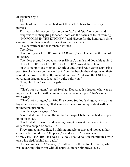of existence by a

86

couple of hard frosts that had kept themselves back for this very purpose.

Fishlegs could now get Horrorcow to "go" and "stay" on command. Hiccup was still struggling to teach Toothless the basics of toilet training.

"NO FOOING IN THE KITCHEN," said Hiccup for the hundredth time, carrying Toothless outside after yet another accident.

'Is w-w-warmer in the kitchen," whined

Toothless.

"But poos go OUTSIDE, You KNO *W that* ," said Hiccup, at the end of his tether.

Toothless promptly pooed all over Hiccup's hands and down his tunic. J "Is OUTSIDE, is OUTSIDE, is OUTSIDE," crowed Toothless.

At this inopportune moment, Snotlout and Dogsbreath came sauntering past Stoick's house on the way back from the beach, their dragons on their shoulders. "Well, well, well," sneered Snotlout, "if it isn't the USELESS, covered in dragon poo. It actually quite suits you."

"Hur, Hur, Hur," snorted Dogsbreath.

87

"That's not a dragon," jeered Seaslug, Dogsbreath's dragon, who was an ugly great Gronckle with a pug nose and a mean temper, "that's a newt with wings."

"That's not a dragon," scoffed Fireworm, Snotlout's dragon, who was as big a bully as her master, "that's an ickle newborn bunny wabbit with a pathetic pooproblem."

Toothless gave a gasp of fury.

Snotlout showed Hiccup the immense heap of fish that he had wrapped up in his cloak.

"Look what Fireworm and Seaslug caught down at the beach. And it only took a couple of hours. ..."

Fireworm coughed, flexed a shining muscle or two, and looked at her claws in fake modesty. "Oh, pease," she drawled. "I wasn't even CONCCEN-Tr\ATItfG. If I was TRYING, I could do it in ten minutes, with one wing tied, behind my back."

"Excuse me *while I throw up* ," muttered Toothless to Horrorcow, who was regarding Fireworm with disapproval in her big brown eyes.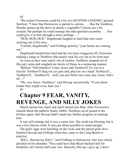88

"We reckon Fireworm could be a bit of a HUNTING LEGEND," grinned Snotlout. "I hear that Horrorcow is partial to carrots. . . . Has the Toothless Wonder gotten up the nerve to attack a vegetable? Carrots are a bit crunchy but perhaps he could manage the odd squished cucumber. . . . You could give it to him through a straw perhaps. ..."

"HUR, HUR, HUR." Dogsbreath laughed so hard that snot came snorting out of his nose.

"Careful, Dogsbreath," said Fishlegs politely, "your brains are coming out."

Dogsbreath bashed him hard and the two boys staggered off, Fireworm making a lunge at Toothless that nearly took his eye out as he went past.

As soon as they were safely out of earshot, Toothless jumped out of Hiccup's arms and coughed out sheets of flame in a menacing manner.

"Bullies! Yellowbellies! Come closer and Toothess'll fry you to a frazzle! Toothess'll drag out yer guts and, play'em on a harp! Toothess'll... Toothless'll... Toothless'll... well, you just better not come any closer, that's all... !"

"Oh, very brave, Toothless," said Hiccup sarcastically. "If you shout louder they might even, hear you."

89

### **Chapter 9 FEAR, VANITY, REVENGE, AND SILLY JOKES**

March turned into April and April turned into May. After Fireworm's remark about the pathetic bunny rabbit, Toothless never pooed in the kitchen again. But Hiccup hadn't made any further progress in training him.

It was still raining, but it was a warm rain. The wind was blowing, but it was a less furious wind. It was just about possible to stand upright.

The gulls' eggs were hatching on the rocks and the parent gulls divebombed Hiccup and Fishlegs when they came to the Long Beach to practice.

"KILL, Horrorcow, KILL," said Fishlegs to Horrorcow, who was calmly perched on his shoulder. "You could have that Black-backed Gull for breakfast, he's barely half your size. Honestly, Hiccup, I give up, I don't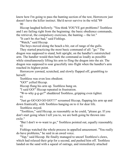know how I'm going to pass the hunting section of the test, Horrorcow just doesn't have the killer instinct. She'd never survive in the wild."89

90

Hiccup laughed hollowly. "You think YOU'VE got problems? Toothless and I are failing right from the beginning: the basic obedience commands, the retrieval, the compulsory exercises, the hunting -- the lot."

"It can't be *that* bad," said Fishlegs.

"Watch," said Hiccup.

The boys moved along the beach a bit, out of range of the gulls.

They started practicing the most basic command of all: "go." The dragon was supposed to stand, bolt upright, on the handler's outstretched arm. The handler would then bark the command as loudly as possible while simultaneously lifting his arm to fling the dragon into the air. The dragon was supposed to soar gracefully into flight when the handler's arm reached its highest point.

Horrorcow yawned, scratched, and slowly flapped off, grumbling to herself.

Toothless was even less obedient.

"GO!" yelled Hiccup.

Hiccup flung his arm up. Toothless hung on.

"I said GO!" Hiccup repeated in frustration.

"W-w-why g-g-go?" shuddered Toothless, gripping even tighter. 91

"Just go GO GO GO GO!!!!" screamed Hiccup, flapping his arm up and down frantically, with Toothless hanging on to it for dear life.

Toothless stayed.

"Toothless," said Hiccup, as reasonably as he could, "please go. If you don't start going when I tell you to, we are both going be thrown into exile."

"But I don't w-w-want to go," Toothless pointed out, equally reasonably. 92

Fishlegs watched the whole process in appalled amazement. "You really do have problems," he said in an awed voice.

"Yup," said Hiccup. He finally managed to uncurl Toothless's claws, which had relaxed their grip for a second, and pushed him off. Toothless landed on the sand with a squeal of outrage, and immediately attached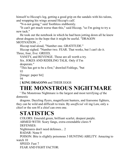himself to Hiccup's leg, getting a good grip on the sandals with his talons, and wrapping his wings around Hiccup's calf.

"N-n-not going," said Toothless stubbornly.

"It can't get much worse than this," said Hiccup, "so I'm going to try a new tack."

He took out the notebook in which he had been jotting down all he knew about dragons in the hope that it might be useful. "DRAGON MOTIVATION .. ."

Hiccup read aloud, "Number one. GRATITUDE."

Hiccup sighed. "Number two. FEAR. That works, but I can't do it. Three, four, five: GREED,

VANITY, and REVENGE. Those are all worth a try.

Six. JOKES AND RIDDLING TALK. Only if I'm desperate."

"This has got to be a first," drawled Fishlegs, "but

93

[Image: paper bit]

94

[ **KING DRAGONS** and THEIR EGGS

# **THE MONSTROUS NIGHTMARE**

' The Monstrous Nightmare is the largest and most terrifying *of* the domestic

dragons. Dazzling flyers, magnificent hunters, and fearsome fighters, they can be wild and difficult to train. By *unofficial vik* ing Law, only a chief or the son 0f a chief can own one.

# **STATISTICS**

COLORS: Emerald green, brilliant scarlet, deepest purple.

ARMED WITH: Scary fangs, extra-extendable claws 9

DEFENSES:

Nightmares don't need defenses... 2

RADAR: None 0

POISON: Bite is slightly poisonous 3 HUNTING ABILITY: Amazing to watch 10

SPEED: Fast 7

FEAR AND FIGHT FACTOR: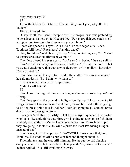Very, very scary 10]

95

I'm with Gobber the Belch on this one. Why don't you just yell a bit louder?"

Hiccup ignored him.

"Okay, Toothless," said Hiccup to the little dragon, who was pretending to be asleep as he held on to Hiccup's leg. "For every, fish you catch me I will give you two more lobsters when you get home."

Toothless opened his eyes. "A-a-alive?" he said eagerly. "C'C-can Toothless kill them? P-p-please? Just this once?"

"No, Toothless," said Hiccup, firmly, "I keep on telling you, *it* isn't kind to torture creatures smaller than yourself."

Toothless closed his eyes again. "You're so *b-b-* boring," he said sulkily.

"You're such a clever, quick dragon, Toothless," Hiccup flattered, "I bet you could catch more fish than any of tie others on Thor'siiay. Thurshday if you wanted to."

Toothless opened his eyes to consider the matter. "T-t-twice as many," he said modestly. "But I don't w-w-want to."

This was unanswerable. Hiccup crossed

VANITY off his list.

96

"You know that big red. Fireworm dragon who was so rude to you?" said Hiccup.

Toothless spat on the ground in indignation. "S-s-said I was a newt with wings. S-s-said I was an incontinent bunny r-r-rabbit. T-t-toothless going to T-t-toothless going to k-k-kiol her. Toothless going to s-s-scratch her to death. T-t-toothless going to --"

"Yes, yes,"said Hiccup hastily. "That Fire-woriji dragon and her master who looks like a pig think that Fireworm is going to catch more fish thatn anybody else at the Thor'sday Thursday celebrations. Think how stupid they are going to look if YOU win tie prize for Most Promising Dragon instead of her."

Toothless got off Hiccup's leg. "I W-W-WILL think about that," said Toothless. He waddled off a couple of feet and thought about it.

Five minutes later he was still thinking. He let out the odd chuckle every now and then, but every time Hiccup said, "So, how about it, then?" he just replied, "S-s-still thinking. Go away."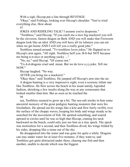With a sigh, Hiccup put a line through REVENGE.

"Okay," said Fishlegs, looking over Hiccup's shoulder. "You've tried everything else. How about

97

JOKES AND RIDDLING TALK? I assume you're desperate."

"Toothless," said Hiccup, "If you catch me a nice big mackerel you will be the cleverest, fastest dragon on Berk AND you will make that Fireworm dragon look like an idiot AND you will have all tie lobsters you can eat when we get horne AND I will tell you a really good joke."

Toothless turned around. "T-t-toothless loves jokes." He flapped on to Hiccup's arm again. "All right. Toothless helf you. B-b-but NOT because me being n-n-nice or anything yucky. ..."

"No, no," said Hiccup. "Of course not."

"Us d-d-dragons cruel and. mean. But we do love a j-j-joke. Tell me NOW."

Hiccup laughed. "No way.

AFTER you bring me a mackerel."

"Okay then," said Toothless. He jumped off Hiccup's arm into the air.

A dragon hunting is a very impressive sight, even a scrawny infant one like Toothless. He flew across the beach in his usual untidy, lopsided fashion, shrieking a few insults along the way at any cormorants that looked smaller than him. But as soon as he reached the

98

sea, Toothless seemed to grow up a bit. The sea-salt awoke in him some ancestral memory of the great pedigree hunting monsters that were his forefathers. He spread out his wings like a kite and flew fairly swiftly over the surface of the choppy waves, keeping his body and wings steady as he searched for the movement of fish. He spotted something, and soared upward in circles until he was so high that Hiccup, craning his neck backward on the beach, could only just see him as a tiny speck. The speck was motionless for a second, and then Toothless dived, his wings folded by his sides, dropping like a stone out of the sky.

He disappeared into the water and was gone for quite a while. Dragons can stay under water for at least five minutes, if they want to, and Toothless got quite distracted under there, chasing one fish and then another, unable to decide which was the biggest.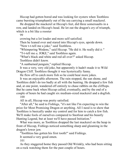Hiccup had gotten bored and was looking for oysters when Toothless came bursting triumphantly out of the sea carrying a small mackerel.

He dropped the mackerel at Hiccup's feet, did three somersaults in a row, and landed on Hiccup's head. He let out the dragon's cry of triumph, which is a bit like a rooster

99

crowing but a lot louder and more self-satisfied.

Then he leaned over and stared into Hiccup's eyes, upside down. "Now t-t-tell me a joke," said Toothless.

"Whimpering Wodens," said Hiccup. "He did it. He really did *it."* "T-t-tell me *a,* JOKE," said Toothless again.

"What's black and white and red all over?" asked Hiccup.

Toothless didn't know.

"A sunburned penguin," replied Hiccup.

It was a very, very old joke, but apparently it hadn't made it to Wild Dragon Cliff. Toothless thought it was hysterically funny.

He flew off to catch more fish so he could hear more jokes.

It was an enjoyable afternoon. The rain stopped, the sun shone, and Toothless didn't do too badly at all with the hunting. He dropped a few fish and, at one point, wandered off entirely to chase rabbits on the clifftops. But he came back when Hiccup called, eventually, and by the end of a couple of hours he had caught six medium-sized mackerel and a dogfish.

100

All in all, Hiccup was pretty satisfied.

"After all," he said to Fishlegs, "it's not like I'm expecting to win the prize for Most Promising Dragon or anything. All I need is to show that Toothless is basically under my control and for him to catch a few fish. We'll make fools of ourselves compared to Snotlout and his beastly Hunting Legend, but at least we'll have passed Initiation."

What was more, as Toothless dropped the last mackerel on the heap in front of Hiccup, Fishlegs noticed something sharp and gleaming in the dragon's lower jaw.

"Toothless has gotten his first tooth!" said Fishlegs.

It seemed a very good omen.

101

As they staggered home they passed Old Wrinkly, who had been sitting on a rock watching them for the past couple of hours.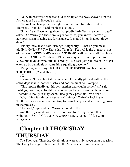"Ve-ry impressive," wheezed Old Wrinkly as the boys showed him the fish wrapped up in Hiccup's cloak.

"We reckon Hiccup really might pass the Final Initiation Test on Thor'sday Thursday," said Fishlegs excitedly.

"So you're still worrying about that piddly little Test, are you, Hiccup?" asked Old Wrinkly. "There are larger concerns, you know. There's a ginormous storm brewing up, for instance. It should hit us in about three days."

"Piddly little Test?" said Fishlegs indignantly. "What do you mean, piddly little Test??? The Thor'sday Thursday Festival is the biggest event of the year. **EVERYBODY** who is **ANYBODY** will be there, all the Hairy Hooligans **AND** the Meatheads. Plus, this may not seem important to YOU, but anybody who fails this piddly little Test gets put into exile to get eaten up by cannibals or something equally gruesome."

"I'm going to call myself **HICCUP THE USEFUL** and his dragon **TOOTHFULL, "** said Hiccup,

102

beaming. "I thought of it just now and I'm really pleased with it. It's solid, dependable, not too flashy and not too much to live up to."

"This reptile finally got his act together and caught some fish," said Fishlegs, pointing at Toothless, who was picking his nose with one claw. "Incredible though it may seem, Hiccup may pass this Test after all."

"Oh, I think it's almost a certainty," said Old Wrinkly, looking at Toothless, who was now attempting to cross his eyes and was falling down in the process.

"Al-most," repeated Old Wrinkly thoughtfully.

And the boys went home, with Toothless following behind them whining, *"Ok C-C* -CARRY ME, CARRY ME ... it's not f-f-fair ... my wings ache...."

103

## **Chapter 10 THOR'SDAY THURSDAY**

The Thor'sday Thursday Celebrations were a truly spectacular occasion. The Hairy Hooligans' fierce rivals, the Meatheads, from the nearby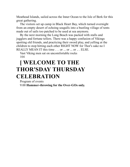Meathead Islands, sailed across the Inner Ocean to the Isle of Berk for this great gathering.

The visitors set up camp in Black Heart Bay, which turned overnight from an empty desert of echoing seagulls into a bustling village of tents made out of sails too patched to be used at sea anymore.

By the next morning the Long Beach was packed with stalls and jugglers and fortune tellers. There was a happy confusion of Vikings spotting old friends, and practicing their sword play, and yelling at the children to stop hitting each other RIGHT NOW for Thor's sake no I REALLY MEAN IT this time . . . or ... or ... or ... ELSE.

Vast Viking men sat on uncomfortable rocks 104

# **[ WELCOME TO THE THOR'SDAY THURSDAY CELEBRATION**

Program of events 9:00 **Hammer-throwing for the Over-GOs only.**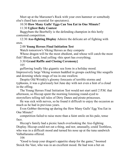Meet up at the Marooner's Rock with your own hammer or somebody else's (hard hats essential for spectators).

### 10:30 **How Many Gulls' Eggs Can You Eat in One Minute?**

#### 11:30 **Ugliest Baby Contest**

Baggybum the Beerbelly is the defending champion in this hotly contested competition.

12:30 **Axe-fighting Display** Admire the delicate art of fighting with axes.

#### 2:00 **Young Heroes Final Initiation Test**

Watch tomorrow's Viking Heroes as they compete

Whose dragon will be the most obedient, and whose will catch the most fish? Blood, teeth, loud yelling -this sport has everything;

### 3:30 **Grand Raffle and Closing Ceremony]**

105

guffawing loudly like gigantic sea lions in a holiday mood.

Impressively large Viking women huddled in groups cackling like seagulls and downing whole mugs of tea in one swallow.

Despite Old Wrinkly's gloomy forecasts of terrible storms and typhoons, it was a gloriously hot June day with not even a hint of a cloud in the offing.

The Young Heroes Final Initiation Test would not start until 2 P.M. that afternoon, so Hiccup spent the morning listening round-eyed to storytellers telling tall tales of Dirty Danes and pirate princesses.

He was sick with nerves, so he found it difficult to enjoy the occasion as much as he had in previous years.

Even Gobber throwing up during the How Many Gulls' Egg You Eat in One Minute?

competition failed to raise more than a faint smile on his pale, tense face.

Hiccup's family had a picnic lunch overlooking the Axe-fighting Display. Hiccup could not eat a thing, and nor, unusually, could Toothless, who was in a difficult mood and turned his nose up at the tuna sandwich Valhallarama offered.

106

"Good to keep your dragon's appetite sharp for the game," boomed Stoick the Vast, who was in an excellent mood. He had won a bet on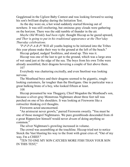Goggletoad in the Ugliest Baby Contest and was looking forward to seeing his son's brilliant display during the Initiation Test.

As the day wore on, a hot wind suddenly started blowing out of nowhere. It was still sweltering, but ominous gray clouds were gathering on the horizon. There was the odd rumble of thunder in the air.

*Maybe Old Wrinkly had been right,* thought Hiccup as he gazed upward, *and Thor* is *going to put in his traditional appearance at the Thor'sday Thursday celebrations.*

*"P-P-P-P-A-R-P!* Will all youths hoping to be initiated into the Tribes this year please make their way to the ground at the left of the beach."

Hiccup gulped, nudged Toothless, and stood up. This was it.

Hiccup was one of the last to get to the ground, which was a large area of wet sand just at the edge of the sea. The boys from his own Tribe were already assembled, their dragons hovering a couple of feet above them.

107

Everybody was chattering excitedly, and even Snotlout was looking nervous.

The Meathead boys and their dragons seemed to be gigantic, roughlooking customers, far tougher than the Hooligans. One in particular was a great hulking brute of a boy, who looked fifteen at least.

108

Hiccup presumed he was Thuggory, Chief Mogadon the Meathead's son, because a silver-gray Monstrous Nightmare about three feet tall was perched on one of his shoulders. It was looking at Fireworm like a rottweiler thinking evil thoughts.

Fireworm acted unconcerned.

"An aristocrat never growls," purred Fireworm sweetly. "You must be one of those mongrel Nightmares. We pure greenbloods descended from *th* e great Ripperclaw himself would never *dream* of doing anything so common."

The silver Nightmare's growling increased in volume.

The crowd was assembling at the touchline. Hiccup tried not to notice Stoick the Vast blasting his way to the front with great cries of, "Out of my way, I'm a CHIEF."

"TEN TO ONE MY SON CATCHES MORE FISH THAN YOUR SON IN THIS TEST,"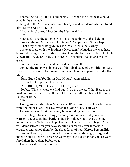boomed Stoick, giving his old enemy Mogadon the Meathead a good prod in the stomach.

Mogadon the Meathead narrowed his eyes and wondered whether to hit him. Maybe AFTER the Test.

"And which," asked Mogadon the Meathead, "is 109

your son? Is he the tall one who looks like a pig with the skeleton tattoos and the red Monstrous Nightmare?" "Nope," said Stoick happily.

"That's my brother Baggybum's son. MY SON is that skinny

one over there with the Toothless Daydream." Mogadon the Meathead broke into a big smile. He slapped Stoick, on the back and yelled, "I TAKE YOUR BET AND DOUBLE IT!" "DONE!" shouted Stoick, and the two great

chieftains shook hands and bumped bellies on the bet.

Gobber the Belch was in charge of this final stage of the Initiation Test. He was still looking a bit green from his unpleasant experience in the How Many

Gulls' Eggs Can You Eat in One Minute? competition.

This had not improved his temper.

"ALL RIGHT, YOU 'ORRIBLE LOT!" yelled

Gobber. "This is where we find out if you are the stuff that Heroes are made of. You will either walk out of this arena full members of the noble Tribes of Hairy

110

Hooligans and Merciless Meatheads OR go into miserable exile forever from the Inner Isles. Let's see which it's going to be, shall we?"

He grinned nastily at the twenty boys standing before him.

"I shall begin by inspecting you and your animals, as if you were warriors about to go into battle. I shall introduce you to the watching members of the Tribes you hope to enter. Then the Test will begin. You will demonstrate how you have asserted yourselves over these wild creatures and tamed them by the sheer force of your Heroic Personalities.

"You will start by performing the basic commands of 'go,' 'stay,' and 'fetch.' You will end by ordering your reptile to hunt fish for you, as your forefathers have done before you."

Hiccup swallowed nervously.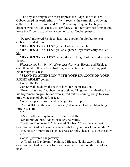"The boy and dragon who most impress the judge, and that is ME," -- Gobber bared his teeth grimly -- "will receive the extra glory of being called the Hero of Heroes and Most Promising Dragon. The boys and dragons who FAIL this Test will say farewell to their families forever and leave the Tribe to go, where we do not care." Gobber paused.

111

"Poetry," muttered Fishlegs, just loud enough for Gobber to hear. Gobber glared at him.

**"HEROES OR EXILES!"** yelled Gobber the Belch.

**"HEROES OR EXILES!"** yelled eighteen boys fanatically back at him.

**"HEROES OR EXILES!"** yelled the watching Hooligan and Meathead Tribes.

*Please let me be a bit of a Hero, just this once,* Hiccup and Fishlegs each thought to themselves. Nothing too spectacular or anything, just to get through this Test.

#### **"STAND TO ATTENTION, WITH YOUR DRAGONS ON YOUR RIGHT ARMS!"** yelled

Gobber the Belch.

Gobber walked down the row of boys for the inspection.

"Beautiful turnout." Gobber congratulated Thuggory the Meathead on his Nightmare dragon, Killer, who spread out his shining wings to show off a wingspan of about four feet.

Gobber stopped abruptly when he got to Hiccup.

"And **WHAT** in the name of Woden," demanded Gobber, blanching a little, "is **THIS?"**

112

"It's a Toothless Daydream, sir," muttered Hiccup.

"Small but vicious," added Fishlegs, helpfully.

"Toothless Daydream???" blustered Gobber. "That's the smallest Common or Garden I have ever seen. What do you think I am, an idiot?"

"No, no, sir," murmured Fishlegs reassuringly, "just a little on the slow side."

Gobber glowered dangerously.

"A Toothless Daydream," explained Hiccup, "looks exactly like a Common or Garden except for the characteristic wart on the end of its nose."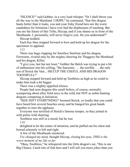"SILENCE!" said Gobber, in a very loud whisper. "Or I shall throw you all the way to the Mainland. I HOPE," he continued, "that this dragon hunts better than it looks. you and your fishy friend here are the worst candidates for Initiation I have ever had the displeasure of teaching. But you are the future of this Tribe, Hiccup, and if you shame us in front of the Meatheads, I, personally, will never forgive you. Do you understand?"

Hiccup nodded.

Each boy then stepped forward to bow and hold up his dragon for the spectators to applaud.

113

There was huge clapping for Snotface Snotlout and his dragon, Fireworm, rivaled only by the mighty cheering for Thuggory the Meathead and his dragon, Killer.

"I give you, last but not least," Gobber the Belch was trying to put a bit of enthusiasm into his yelling, "the fearsome . . . the terrible . . . the only son of Stoick the Vast... HICCUP THE USEFUL AND HIS DRAGON TOOTHFULL!"

Hiccup stepped forward and held up Toothless as high as he could to make him look a bit bigger.

There was a slightly appalled silence.

People had seen dragons this small before, of course, normally scampering about after field mice in the wild, but NOT as noble hunting dragons competing in Initiation.

"SIZE ISN'T EVERYTHING!" boomed Stoick, so loudly that you could have heard him several beaches away, and he banged his great hands together to start the applause.

Everyone was terrified of Stoick's famous temper, so they joined in with polite wild cheering.

Toothless was still in a mood, but he was

114

delighted to be the center of attention, and he puffed out his chest and bowed solemnly to left and right.

A few of the Meatheads snickered.

*I've changed my mind,* thought Hiccup, closing his eyes, *THIS is the worst moment of my life so far.*

"Okay, Toothless," he whispered into the little dragon's ear, "this is our Big Chance. Catch lots of fish here and I will tell you more jokes than you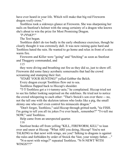have ever heard in your life. Which will make that big red Fireworm dragon *really* cross."

Toothless took a sideways glance at Fireworm. She was sharpening her nails on Snotlout's helmet with the smug certainty of a dragon who knows she's about to win the prize for Most Promising Dragon.

*"P-PPAKP!"*

The Test began.

Toothless didn't do too badly in the early obedience exercises, though he clearly thought it was extremely dull. It was now raining quite hard and Toothless hated the rain. He wanted to go home and relax in front of a nice warm fire.

Fireworm and Killer were "going" and "fetching" as soon as Snotlout and Thuggory commanded, and

115

they were diving and breathing out fire as they did so, just to show off. Fireworm did some fancy acrobatic somersaults that had the crowd screaming and stamping their feet.

"START YOUR HUNTING!" yelled Gobber the Belch.

Every dragon except Toothless flew out to sea.

Toothless flapped back to Hiccup's shoulder.

"T-T-Toothless got a t-t-tummy-aeie," he complained. Hiccup tried not to see his father looking surprised on the sidelines. He tried not to notice the crowd whispering to each other: "That's Stoick's son over there -- no, not the tall one with the skeleton tattoos who looks like a pig, the small skinny one who can't even control his minuscule dragon."

"Don't forget, Toothless," said Hiccup through gritted teeth, "tie FISH. I'm going to tell you all tie jokes I've ever hearh., remember?" "T-t-tell me NOW," said Toothless.

Help came from an unexpected quarter.

116

Snotlout broke off from yelling "KILL, FIREWORM, KILL" to lean over and sneer at Hiccup. "What ARE you doing, Hiccup? You're not TALKING to that newt with wings, are you? Talking to dragons is against the rules and forbidden by order of Stoick the Vast, your wimpy father. ..."

"N-n-newt with wings?" repeated Toothless. "N-N-NEWT WITH WINGS???"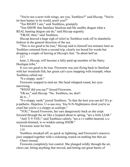"You're not a newt with wings, are you, Toothless?" said Hiccup. "You're tie best hunter in tie world, aren't you?"

"Too RIGHT I am," said Toothless, grumpily.

"You SHOW that Snotface Snotlout and Ms snobby dragon what a REAL hunting dragon can do," said Hiccup urgently.

"OKAY, then," said Toothless.

Hiccup heaved a huge sigh of relief as Toothless took off in shambolic fashion in the general direction of the sea.

"This is too good to be true," Hiccup said to himself ten minutes later as Toothless returned from a second trip, clearly too bored for words but dropping a couple of herring at Hiccup's feet. "In about half an

117

hour, I, Hiccup, will become a fully paid-up member of the Hairy Hooligan tribe."

It *was* too good to be true. Fireworm was just flying back to Snotlout with her twentieth fish, her green cat's eyes snapping with triumph, when Toothless called out:

"S-s-sloppy. snob."

Fireworm stopped in mid-air. Her head whipped round, her eyes narrowing.

"WHAT did you say?" hissed Fireworm.

"Oh no," said Hiccup. "No, Toothless, no, don't

do it...."

"S-s-sloppy. snob," jeered Toothless. "Is that the best you can do? It's pp-pathetic. Hopeless. U-u-use-iess. You N-N-Nightmares *think* you're so cruel but you're s-s-sloppy as scallops."

"YOU," hissed Fireworm, her ears dangerously back as she crept forward through the air like a leopard about to spring, "are a little LIAR."

"Anil Y-Y-YOU," said Toothless calmly, "are a r-r-rabbit-hearted, s-sseaweeh-brained, w-w-winkle-eating SNOB."

Fireworm went for him.

118

Toothless streaked off, as quick as lightning, and Fireworm's massive jaws snapped together with a sickening crunch on nothing but thin air.

Chaos ensued.

Fireworm completely lost control. She plunged wildly through the air, claws out, biting anything that moved, and letting out great bursts of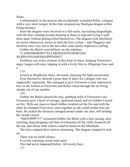flame.

Unfortunately, in the process she accidentally scratched Killer, a dragon with a very short temper. Killer then attacked any Hooligan dragon within biting distance.

Soon the dragons were involved in a full-scale, rip-roaring dragonfight, with the boys running around shouting at them to stop and trying to pull them apart without getting killed themselves. The dragons took absolutely no notice whatsoever, however hard the boys yelled -- and Thuggory and Snotlout were very red in the face after some pretty impressive yelling.

Gobber the Belch went ballistic on the sidelines.

"CANSOMEBODYTELLMEWHATINTHORAND-WODEN'SNAMEISHAPPENING?"

Toothless was in his element in this kind of chaos, dodging Fireworm's angry lunges with ease, nipping in with a lively bite at Alligatiger here and a

119

scratch at Brightclaw there, obviously enjoying the fight enormously.

Even Horrorcow showed a great deal of spirit for a dragon who was supposedly vegetarian. She managed to give Fireworm a truly impressive bite on the bottom as Fireworm and Killer rolled through the air biting chunks out of one another.

120

Gobber the Belch entered the fray, grabbing hold of Fireworm's tail. Fireworm gave a howl of outrage, squirmed round, and set Gobber's beard on fire. With one massive hand Gobber swatted out the fire and with the other he clamped Fireworm's jaws together so she could neither bite nor burn. He tucked the furiously enraged animal under one arm, still holding her mouth closed.

"SSSTOPPP!!!!!" screamed Gobber the Belch with a hair-raising, skincrawling, fang-dropping yell that reverberated off the cliffs, bounced off the sea, and whose faint echoes could be heard on the Mainland.

The boys stopped their useless screaming. The dragons stopped in midair.

There was an awful silence.

Even the watching crowd went quiet.

This had never happened before. All twenty boys

121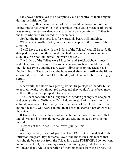had shown themselves to be completely out of control of their dragons during the Initiation Test.

Technically, this meant that all of them should be thrown out of their Tribes into exile. And exile in this horrid climate could mean death. Food was scarce, the sea was dangerous, and there were certain wild Tribes in the Isles who were rumoured to be cannibals. . ..

Gobber the Belch stood, lost for words, his beard still smoking.

When he eventually spoke, his voice was deep with the horror of the situation.

"I will have to speak with the Elders of the Tribes," was all he said. He dropped Fireworm on the ground. She had come to her senses and now slunk toward Snotlout, her tail between her legs.

The Elders of the Tribes were Mogadon and Stoick, Gobber himself, and a few more of the more fearsome warriors, such as Terrible Tuffnut, the Vicious Twins, and the Hairy Scary Librarian from the Meat-head Public Library. The crowd and the boys stood absolutely still as the Elders consulted in the traditional Elder Huddle, which looked a bit like a rugby scrum.

122

Meanwhile, the storm was getting worse. Huge claps of thunder burst over their heads, the rain poured down, and they couldn't have been much wetter if they had all jumped into the sea.

The Elders consulted for a long time. Mogadon got angry at one point and swung a fist at Tuffnut. A Twin held on to each of his arms until he calmed down again. Eventually Stoick came out of the Huddle and stood before the boys, who were hanging their heads in shame, their dragons at their feet.

If Hiccup had been able to look at his father, he would have seen that Stoick was not his normal, merry, violent self. He looked very solemn indeed.

"Novices of the Tribes," he bellowed grimly, "this

123

is a very bad day for all of you. You have FAILED the Final Test of the Initiation Program. By the fierce Law of the Inner Isles this means that you should be cast out from the Tribes into exile FOREVER. I do not want to do this, not only because my own son is among you, but also because it will mean that a whole generation of warriors is lost from the Tribes. But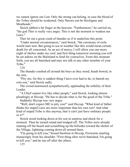we cannot ignore our Law. Only the strong can belong, in case the blood of the Tribes should be weakened. Only Heroes can be Hooligans and Meatheads."

Stoick jabbed a fat finger at the heavens. "Furthermore," he carried on, "the god Thor is really very angry. This is not the moment to weaken our Laws."

Thor let out a great crash of thunder as if to underline this point.

"Under normal circumstances," said Stoick, "the ceremony of exile would start now. But going to sea in weather like this would mean certain death for all concerned. As an act of mercy, I will allow you one more night of shelter under my roof, and first thing tomorrow morning you will be set ashore on the Mainland to fend for yourselves. From this moment forth, you are all banished and may not talk to any other member of your Tribe."

124

The thunder crashed all around the boys as they stood, heads bowed, in the rain.

"Pity me, for this is saddest thing I have ever had to do, to banish my own son," said Stoick sadly.

The crowd murmured sympathetically, applauding the nobility of their Leader.

"A Chief cannot live like other people," said Stoick, looking almost pleadingly at Hiccup. "He has to decide what is for the good of the Tribe."

Suddenly Hiccup was very angry.

"Well, don't expect ME to pity you!" said Hiccup. "What kind of father thinks his stupid Laws are more important than his own son? And what kind of stupid Tribe is this anyway, that it can't just have ordinary people in it?"

Stoick stood looking down at his son in surprise and shock for a moment. Then he turned round and trudged off. The Tribes were already running off the beach and scrambling up the hillsides toward the shelter of the Village, lightning coming down all around them.

"I'm going to kill you," hissed Snotlout at Hiccup, Fireworm snarling menacingly from his shoulder. "First thing after we're banished, I'm going to kill you," and he ran off after the others.

125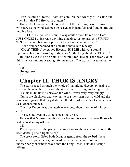"I've lost my t-t- tooti," Toothless com- plained whinily. "C-c-came out when I hit that F-f-fireworm dragon."

Hiccup took no no tice. He looked up at the heavens, beside himself with fury as the wind scooped up seawater in handfuls and flung it straight into his face.

"JUST ONCE," yelled Hiccup. "Why couldn't you let me be a Hero JUST ONCE? I didn't want anything amazing, just to pass this STUPID TEST so I could become a proper Viking like everybody else."

Thor's thunder boomed and crackled above him blackly.

"OKAY, THEN *,"* screamed Hiccup, "HIT ME with your stupid lightning. Just do *something* to show you're thinking about me AT ALL."

But there were to be no bolts of lightning for Hiccup. Thor clearly didn't think he was important enough for an answer. The storm moved on out to sea.

126

[Image: storm] 127

## **Chapter 11. THOR IS ANGRY**

The storm raged through the whole of that night. Hiccup lay unable to sleep as the wind hurled about the walls like fifty dragons trying to get in.

"Let us in, let us in," shrieked the wind. "We're very, very hungry."

Out in the blackness and way out to sea the storm was so wild and the waves so gigantic that they disturbed the sleep of a couple of very ancient Sea Dragons indeed.

The first Dragon was averagely enormous, about the size of a largeish cliff.

The second Dragon was gobsmackingly vast.

He was that Monster mentioned earlier in this story, the great Beast who had been sleeping off his

128

Roman picnic for the past six centuries or so, the one who had recently been drifting into a lighter sleep.

The great storm lifted both Dragons gently from the seabed like a couple of sleeping babies, and washed them on the swell of one indescribably enormous wave onto the Long Beach, outside Hiccup's village.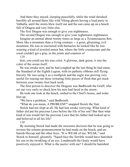And there they stayed, sleeping peacefully, while the wind shrieked horribly all around them like wild Viking ghosts having a loud party in Valhalla, until the storm blew itself out and the sun came up on a beach full of Dragon and very little else.

The first Dragon was enough to give you nightmares.

The second Dragon was enough to give your nightmares nightmares.

Imagine an animal about twenty times as large as a Tyrannosaurus Rex. More like a mountain than a living creature -- a great, glistening, evil mountain. He was so encrusted with barnacles he looked like he was wearing a kind of jeweled armor but, where the little crustaceans and the coral couldn't get a grip, in the joints and crannies of

129

him, you could see his true color. A glorious, dark green, it was the color of the ocean itself.

He was awake now, and he had coughed up the last thing he had eaten, the Standard of the Eighth Legion, with its pathetic ribbons still flying bravely. He was using it as a toothpick and the eagle was proving very useful for teasing out those irritating little pieces of flesh that get stuck between your twenty-foot back teeth.

The first person to discover the Dragons was Badbreath the Gruff, who set out very early to check how his nets had fared in the storm.

He took one look at the beach, rushed to the Chief's house, and woke him up.

"We have a problem," said Badbreath.

"What do you mean, A PROBLEM?" snapped Stoick the Vast.

Stoick had not slept at all. He had lain awake worrying. What kind of father *did* put his precious Laws before the life of his son? But then what kind of son would fail the precious Laws that his father had looked up to and believed in all his life?

130

By morning Stoick had made the awesome decision that he was going to reverse the solemn pronouncement he had made on the beach, and unbanish Hiccup and the other boys. "It is WEAK of me, WEAK," said Stoick to himself, gloomily. "Squid-face the Terrible would have banished his son in the twinkling of an eye. Loudmouth the Gouty would have positively enjoyed it. What is the *matter* with me? I should be banished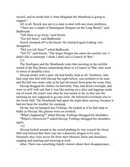myself, and no doubt that is what Mogadon the Meathead is going to suggest."

All in all, Stoick was not in a state to deal with any more problems.

"There are a couple of humungous Dragons on the Long Beach," said Badbreath.

"Tell them to go away," said Stoick.

*"You* tell them," said Badbreath.

Stoick stomped off to the beach. He returned again looking very thoughtful.

"Did you tell them?" asked Badbreath.

"Tell IT," said Stoick. "The larger Dragon has eaten the smaller one. I didn't like to interrupt. I think I shall call a Council of War."

131

The Hooligans and the Meatheads woke that morning to the terrible sound of the Big Drums summoning them to a Council of War, only used in times of dreadful crisis.

Hiccup awoke with a start. He had hardly slept at all. Toothless, who had crept into bed with Hiccup the night before, was nowhere to be seen and the bed was stone cold, so he had obviously been gone for some time.

Hiccup dragged his clothes on hurriedly. They had dried overnight, and were so stiff with salt that it was like putting on a shirt and leggings made out of wood. He wasn't sure what he was meant to do, as this was the morning he was supposed to go into exile. He followed everybody else to the Great Hall. The Meatheads had spent the night there anyway, because it had not been the weather for camping.

On the way he bumped into Fishlegs. He looked as if he had slept as badly as Hiccup. His glasses were on crooked.

"What's happening?" asked Hiccup. Fishlegs shrugged his shoulders.

"Where's Horrorcow?" asked Hiccup. Fishlegs shrugged his shoulders again.

132

.

Hiccup looked around at the crowd pushing its way toward the Great Hall and noticed that there was not a domestic dragon to be seen. Normally they were never far from their Masters' heels and shoulders, yapping and snarling and sneering at each

other. There was something faintly sinister about their disappearance. . .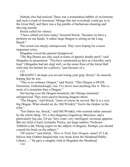Nobody else had noticed. There was a tremendous babble of excitement, and such a crush of enormous Vikings that not everybody could get in to the Great Hall, and there was a big jumble of barbarians shouting and shoving outside.

Stoick called for silence.

"I have called you here today," boomed Stoick, "because we have a problem on our hands. A rather large Dragon is sitting on the Long Beach."

The crowd was deeply unimpressed. They were hoping for a more important crisis.

Mogadon voiced the general disapproval.

"The Big Drums are only used in times of ghastly deadly peril," said Mogadon in amazement. "You have summoned us here at a horribly early hour" (Mogadon had not slept well, on the stone floor of the Great Hall with only his helmet for a pillow), "just because of a

133

DRAGON? I do hope you are not losing your grip, Stoick," he sneered, hoping that he was.

"This is no ordinary Dragon," said Stoick. "This Dragon is HUGE. Enormous. Gobsmackingly vast. I've never seen anything like it. This is more of a mountain than a Dragon."

Not having *seen* the Dragon-mountain, the Vikings remained unimpressed. They were used to bossing dragons about.

"The Dragon," said Stoick, "must of course be moved. But it is a very big Dragon. What should we do, Old Wrinkly? You're the thinker in the tribe."

"You flatter me, Stoick," said Old Wrinkly, who seemed rather amused by the whole thing. "It's a Sea-dragonus Giganticus Maximus, and a particularly big one, I'd say. Very cruel, very intelligent, ravenous appetite. But my field is Early Icelandic Poetry, not large reptiles. Professor Yobbish is the Viking expert on the subject of dragons. Perhaps you should consult his book on the subject."

"Of course!" said Stoick. *"How to Train Your Dragon,* wasn't it? I do believe that Gobber burgled that very book from the Meathead Public Library. ..." He gave a naughty look at Mogadon the Meathead.

134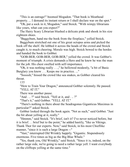"This is an outrage!" boomed Mogadon. "That book is Meathead property. ... I demand its instant return or I shall declare war on the spot."

"Oh, put a sock in it, Mogadon," said Stoick. "With wimpy librarians like yours, what can you expect?"

The Hairy Scary Librarian blushed a delicate pink and shook in his size eighteen shoes.

"Baggybum, hand me the book from the fireplace," yelled Stoick.

Baggybum stretched out one of his great octopus arms and picked the book off the shelf. He lobbed it across the heads of the crowd and Stoick caught it, to much cheering. Morale was high. Stoick bowed to the hordes and handed the book to Gobber.

"GOB-BER, GOB-BER, GOB-BER," yelled the crowd. It was Gobber's moment of triumph. A crisis demands a Hero and he knew he was the man for the job. His chest swelled with self-importance.

"Oh, it was nothing really . . .," he bellowed modestly, "a bit of Basic Burglary you know . . . Keeps me in practice. ..."

"Ssssssh," hissed the crowd like sea snakes, as Gobber cleared his throat.

135

"How to Train Your Dragon," announced Gobber solemnly. He paused. "YELL AT IT."

There was another pause.

"And . .. ?" said Stoick. "Yell at it, and . .. ?"

"That's it," said Gobber. "YELL AT IT."

"There's nothing in there about the Seadragonus Giganticus Maximus in particular?" asked Stoick.

Gobber looked through the book again. "Not as such," said Gobber. "Just the bit about yelling at it, really."

"Hmmm," said Stoick. "It's brief, isn't it? I've never noticed before, but it is brief. . . brief but to the point," he added hastily, "like us Vikings. Thank Thor for our experts. Now," said Stoick, in his most Chieflike manner, "since it is such a large Dragon --"

"Vast," interrupted Old Wrinkly happily. "Gigantic. Stupendously enormous. Five times as big as the Big Blue Whale."

"Yes, thank you, Old Wrinkly," said Stoick. "Since it is, indeed, on the rather large side, we're going to need a rather large yell. I want everybody on the clifftops yelling at the same time."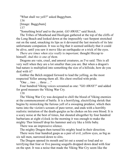"What shall we yell?" asked Baggybum.

136

[Image: Baggybum]

137

"Something brief and to the point. *GO* AWAY," said Stoick.

The Tribes of Meathead and Hooligan gathered at the top of the cliffs of the Long Beach and looked down at the impossibly vast Serpent stretched out on the sand, smacking its lips as it devoured the last morsels of its late unfortunate companion. It was so big that it seemed unlikely that it could be alive, until you saw it move like an earthquake or a trick of the eyes.

*There are times when size really* is *important,* thought Hiccup to himself. *And this is one of them.*

Dragons are vain, cruel, and amoral creatures, as I've said. This is all very well when they are a lot smaller than you are. But when a dragon's bad nature is multiplied into something the size of a hillside, how do you deal with it?

Gobber the Belch stepped forward to lead the yelling, as the most respected Yeller among them all. His chest swelled with pride.

"One ... two . .. three .. ."

Four hundred Viking voices screamed as one: "GO AWAY!" and added for good measure the Viking War Cry.

138

The Viking War Cry was designed to chill the blood of Viking enemies at the commencement of battle. It is a horrifying, electrifying shriek that begins by mimicking the furious yell of a swooping predator, which then turns into the victim's scream of pure terror, and ends with a horribly realistic imitation of the death-gurgles as he chokes on his own blood. It is a scary noise at the best of times, but shouted altogether by four hundred barbarians at eight o'clock in the morning it was enough to make the mighty Thor himself drop his hammer and cry like a little baby.

There was an impressive silence.

The mighty Dragon then turned his mighty head in their direction.

There were four hundred gasps as a pair of evil, yellow eyes, as big as six tall men, narrowed down to slits.

The Dragon opened its mouth and let out a sound so loud and so terrifying that four or five passing seagulls dropped down dead with fear on the spot. It was a noise that made the Viking War Cry seem like the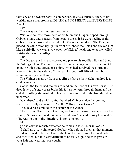faint cry of a newborn baby in comparison. It was a terrible, alien, otherworldly noise that promised DEATH and NO MERCY and EVERYTHING AWFUL.

139

There was another impressive silence.

With one delicate movement of his talon, the Dragon ripped through Gobber's tunic and trousers from head to toe as if he were peeling fruit. Gobber gave a most un-Heroic shriek of outraged modesty. The Dragon placed the same talon upright in front of Gobber the Belch and flicked him like a spitball, way, way away, over the Vikings' heads and over the walled fortifications of the village.

140

The Dragon put his vast, cracked old paw to his reptilian lips and blew the Vikings a kiss. The kiss streaked through the sky and scored a direct hit on both Stoick and Mogadon's ships, which had survived the storm and were rocking in the safety of Hooligan Harbour. All fifty of them burst simultaneously into flames.

The Vikings ran away from that cliff as fast as their eight hundred legs could carry them.

Gobber the Belch had the luck to land on the roof of his own house. The deep layers of soggy grass broke his fall as he went through them, and he ended up sitting stark-naked in his own chair in front of the fire, dazed but unharmed.

"OK, then," said Stoick to four hundred Vikings suddenly looking scared but wildly overexcited, "so the Yelling doesn't work."

They had reassembled in the center of the village.

"And, as our fleet is out of action, we have no means of escape from the island," Stoick continued. "What we need now," he said, trying to sound as if he was on top of the situation, "is for somebody to

141

go and ask the monster whether he comes in PEACE or in WAR."

"I shall go . . .," volunteered Gobber, who rejoined them at that moment, still determined to be the Hero of the hour. He was trying to sound noble and dignified, but it is very difficult to be truly dignified with grass in your hair and wearing your cousin

142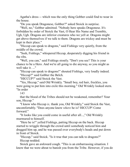Agatha's dress -- which was the only thing Gobber could find to wear in the house.

"Do you speak Dragonese, Gobber?" asked Stoick in surprise.

"Well, no," Gobber admitted. "Nobody here speaks Dragonese. It's forbidden by order of Stoick the Vast, O Hear His Name and Tremble, Ugh, Ugh. Dragons are inferior creatures who we yell at. Dragons might get above themselves if we talk to them. Dragons are tricksy and must be kept in their place."

"Hiccup can speak to dragons," said Fishlegs very quietly, from the middle of the crowd.

"Sssh, Fishlegs," whispered Hiccup, desperately digging his friend in the ribs.

"Well, you can," said Fishlegs stoutly. "Don't you see? This is your chance to be a Hero. And we're all going to die anyway, so you might as well take it. ..."

"Hiccup can speak to dragons!" shouted Fishlegs, very loudly indeed. "Hiccup?" said Gobber the Belch.

"HICCUP?" said Stoick the Vast.

"Yes, Hiccup," said Old Wrinkly. "Small boy, red hair, freckles, you were going to put him into exile this morning." Old Wrinkly looked stern. "In order

143

that the blood of the Tribes should not be weakened, remember? Your son, Hiccup."

"I know who Hiccup *is,* thank you, Old Wrinkly," said Stoick the Vast, uncomfortably. "Does anyone know *where* he is? HICCUP! Come forward."

"It looks like you could come in useful after all...," Old Wrinkly murmured to himself.

"Here he is!" yelled Fishlegs, patting Hiccup on the back. Hiccup started to wriggle through the crowd until somebody noticed him and dragged him up, and he was passed over everybody's heads and put down in front of Stoick.

"Hiccup," said Stoick. "Is it true that you can talk to dragons?" Hiccup nodded.

Stoick gave an awkward cough. "This is an embarrassing situation. I know that we were about to banish you from the Tribe. However, if you do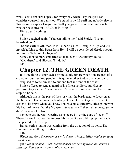what I ask, I am sure I speak for everybody when I say that you can consider yourself un-banished. We stand in awful peril and nobody else in this room can speak Dragonese. Will you go to this monster and ask him whether he comes in PEACE or in WAR?"

Hiccup said nothing.

144

Stoick coughed again. "You can talk to me," said Stoick. "I've unbanished you."

"So the exile is off, then, is it, Father?" asked Hiccup. "If I go and kill myself talking to this Beast from Hell, I will be considered Heroic enough to join the Tribe of Hooligans?"

Stoick looked more embarrassed than ever. "Absolutely," he said. "OK, then," said Hiccup. "I'll do it."

145

# **Chapter 12. THE GREEN DEATH**

It is one thing to approach a primeval nightmare when you are part of a crowd of four hundred people. It is quite another to do so on your own. Hiccup had to force himself to put one foot in front of the other.

Stoick offered to send a guard of his finest soldiers, but Hiccup preferred to go alone. "Less chance of anybody doing anything Heroic and stupid," he said.

Although this is the part of the story that the bards tend to focus on as the bit where Hiccup was particularly Heroic, I do not agree. It is a lot easier to be brave when you know you have no alternative. Hiccup knew in his heart of hearts that the Monster intended to kill them all anyway. So he didn't have a lot to lose.

Nonetheless, he was sweating as he peered over the edge of the cliff. There, below him, was the impossibly large Dragon, filling up the beach. It appeared to be asleep.

But an eerie singing was coming from the direction of its belly. The song went something like this:

146

*Watch me, Gnat Destroyer,as settle down to lunch, killer whales an tasty 'cos thry've*

*got a lot of crunch. Gnat wharks sharks are scrumptious ,but here's a little tip: Those teeny weeny pointy teeth can*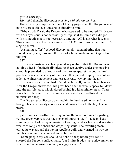*give a nasty nip....*

*How odd,* thought Hiccup, *he can sing with his mouth shut.*

Hiccup nearly jumped clear out of his leggings when the Dragon opened both his crocodile eyes and spoke directly to him.

"Why so odd?" said the Dragon, who appeared to be amused. "A dragon with Ms eyes shut is not necessarily asleep, so it follows that a dragon with his mouth shut is not necessarily singing;. All is not what it seems. That noise that you hear is not me at all. THAT, my Hero, is tie sound. of a singing suffer."

"A singing suffer?" echoed Hiccup, quickly remembering that you should never, ever, look into the eyes of a large, malevolent Dragon like this one.

147

This was a mistake, as Hiccup suddenly realized that the Dragon was holding a herd of pathetically bleating sheep captive under one massive claw. He pretended to allow one of them to escape, let the poor animal practically reach the safety of the rocks, then picked it up by its wool with a delicate pincer movement and tossed it way, way up into the air.

This was a trick Hiccup had often done himself, but with blackberries. Now the Dragon threw back his great head and the woolly speck fell down into the terrible jaws, which closed behind it with a mighty crash. There was a horrible sound of crunching as he chewed and swallowed the unfortunate sheep.

The Dragon saw Hiccup watching him in fascinated horror and he brought his ridiculously enormous head down closer to the boy. Hiccup nearly

#### 148

passed out as his offensive Dragon breath poured out in a disgusting, yellow-green vapor. It was the stench of DEATH itself -- a deep, headspinning stench of decaying matter; of rotting haddock heads and sweating whale; of long-dead shark and despairing souls. The revolting steam curled its way around the boy in repellent coils and wormed its way up into his nose until he coughed and spluttered.

"Some poeple say you should de-bone a sheep before you eat it," sneered the Dragon confidentially, "but I think it adds just a nice crunch to what would otherwise be *a bit of a soggy meal* ...."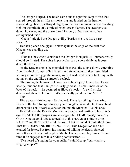The Dragon burped. The belch came out as a perfect loop of fire that soared through the air like a smoke ring and landed on the heather surrounding Hiccup, setting it alight, so that for a moment he was standing right in the middle of a circle of bright green flames. The heather was damp, however, and the blaze flared for only a few moments, then extinguished itself.

"Ooops," giggled the Dragon evilly. "Pardon me ... A little party trick...."

He then placed one gigantic claw against the edge of the cliff that Hiccup was standing on.

149

"Humans, however," continued the Dragon thoughtfully, "humans really should be filleted. The spine in particular can be very tickly as it goes down the throat...."

As the Dragon spoke, he extended his claws, the talons slowly emerging from the thick stumps of his fingers and rising up until they resembled nothing more than gigantic razors, six feet wide and twenty feet long, with points on the end like a surgeon's scalpel.

"Removing the human backbone is a delicate job," hissed the Dragon nastily, "but one that I am particularly good at... a small incision at the back of tie neck" -- he gestured at Hiccup's neck -- "a swift stroke downward, then filck *it* out. . . it's practically painless. For ME ..."

150

Hiccup was thinking very fast indeed. There is nothing like staring Death in the face for speeding up your thoughts. What did he know about dragons that could work against an Invincible Monster like this one?

He could see the Dragon Motivation page he had written in his mind's eye. GRATITUDE: dragons are *never* grateful. FEAR: clearly hopeless. GREED: not a good idea to appeal to at this particular point in time. VANITY and REYENGE: could be useful but he couldn't quite think how. That left JOKES AND RIDDLING TALK. This Dragon looked a bit exalted for jokes. But from his manner of talking he clearly fancied himself as a bit of a philosopher. Maybe Hiccup could buy himself some time if he engaged him in a riddling conversation. . ..

"I've heard of singing for your suffer," said Hiccup, "but what is *a* singing supper?"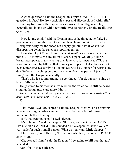"A good question," said the Dragon, in surprise. "An EXCELLENT question, in fact." He drew back his claws and Hiccup sighed with relief. "It's a long time since the supper has shown such intelligence. They're generally too bound up with their little lives to bother with the Really Big Questions.

151

"Now let me think," said the Dragon and, as he thought, he forked a protesting sheep on the end of a talon, then chewed on it reflectively. Hiccup was sorry for the sheep but deeply grateful that it wasn't *him* disappearing down the ravenous reptilian gullet.

"How shall I put *it,* to a brain *so much) small* er and less clever than mine.... Tie thing is, we are all, in a sense, supper. Walking, talking, breathing suppers, that's what we are. Take you, for instance. YOU are about to be eaten by ME, so that makes y *ou* supper. That's obvious. But even a murdererous carnivore like myself will be a supper for worms one day. We're ail snatching percious moments from the peaceful jaws of time," said the Dragon cheerfully.

"That's why it's so important," he continued, "for tie supper to sing as beautifully, as it can."

He gestured to his stomach, from where the voice could still be heard singing, though more and more faintly.

*Humans can be bland, but if you have some salt to hand, A little hit of brim, will make them taste. divi-I-I-I-ne....*

l5l

152

"Tiat PARTICULAR, supper," said the Dragon, "that you hear singing now, was a dragon rather smaller than me *,* but very full of himself. I ate him about half an hour ago."

"Isn't that cannibalism?" asked Hiccup.

"It's delicious," said the Dragon. "Besides, you can't call an ARTIST like myself a CANNBAL." He sounded a bit exasperated now. "You are very rude for such a small person. What do you want, Little Supper?"

"I have come," said Hiccup, "to find. out whether you come in PEACE or in WAR."

"Oh, peace, I tilink," said the Dragon. "I *am* going to kill you though," he added.

*"All* of us?" asked Hiccup.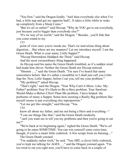"You first," said the Dragon kindly. "Anil then everybody else when I've had, a little nap and got my appetite bad?;. It takes a little while to wake up completely from a Sleep Coma."

"But it's ail so unfair!" said Hiccup. "Why do YOU get to eat everybody, just because you're bigger than everybody else?"

"It's tie way of tie world," said the Dragon. " Besides , you'll fink that you come round to my

153

point of view once you're inside me. That's tie marvelous thing about digestion.... But where are my manners? Let me introduce myself. I am the Green Death. What is your name, Little Supper?"

"Hiccup Horrendous Haddpck the Third," said Hiccup.

And the most extraordinary thing happened.

As Hiccup said his name the Green Death trembled, as if a sudden wind had made him shiver. Neither the Green Death nor Hiccup noticed.

"Hmmm .. .," said the Green Death. "I'm sure I've heard that name somewhere before. But it's rather a mouthful so I shall just call you Little Sup-fer. Now, Little Supper, before I eat you, tell me your problem."

"My problem?" asked Hiccup.

"That's right," said the Dragon. "Your Why-Can't-I-More- Like- My-Father? problem Your It's-Harh-to-Be-a-Hero problem. Your Snotlout-Would-Make-a-Better-Cftief-Than-Me problem. I have helped. the probiems of many a Supper. Some-how meeting a Really Big problem like myself seems to put everything else inproportion."

"Let me get this straight," said Hiccup. "You 154

know all about my father, and me not being a Hero and everything  $\sim$ " "I can see things like that," said the Green Death modestly.

"-anil you want me to tell you my problems and then you're going to eat me?"

"We're back at tie beginning again," sighed the Green Death. "We're *all* going to be eaten SOMETIME. You can win yourself some extra time, though, if you're a smart little crabstick. A few scraps from tie burning...."

The Green Death yawned.

"I'm suddenly rather tireh," he said. "You ART; a clever little crabstick, you've kept me talking for AGES. . .." and the Dragon yawned again. "I'm too tired to eat you right now, you'll have to come back in a couple of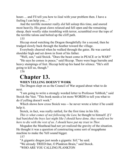hours ... and I'll tell you how to ileal with your problem then. I have a feeling I can help you... ."

And the terrible monster really *did* fall asleep this time, and snored most heavily. His great claws relaxed and fell open and the remaining sheep, their woolly sides trembling with terror, scrambled over the tops of the terrible talons and bolted up the cliff path.

155

Hiccup stood watching the Dragon thoughtfully for a second, then he trudged slowly back through the heather toward the village.

Everybody cheered when he walked through the gates. He was carried shoulder high and set down in front of his father.

"Well, son," said Stoick. "Does the beast come in PEACE or in WAR?"

"He says he comes in peace," said Hiccup. There were huge hurrahs and heavy stampings of feet. Hiccup held up his hand for silence. "He's still going to kill us, though."

156

#### **Chapter 13.**

#### **WHEN YELLING DOESN'T WORK**

The Dragon slept on as the Council of War argued about what to do next.

"I am going to write a strongly worded letter to Professor Yobbish," said Stoick the Vast. "This book needs a lot more WORDS to tell you what to do if yelling doesn't work."

Which shows how cross Stoick was -- he never wrote a letter if he could help it.

Stoick, in fact, was really rattled, for the first time in his life.

*This is what comes of not following the Law,* he thought to himself. *If I had banished the boys last night like I should have done, they would not be here to die with the rest of us. I should have put my trust in Thor.*

Mogadon the Meathead had not yet realized the gravity of the situation. He thought it was a question of constructing some sort of megaphone machine to make the Yell sound bigger.

157

"A gigantic dragon just needs a gigantic *Yell,"* he said. "We already TRIED that, O Plankton Brain," said Stoick. "WHO ARE YOU CALLING PLANKTON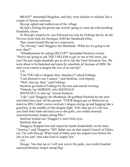BRAIN?" demanded Mogadon, and they went whisker to whisker like a couple of furious walruses.

Hiccup sighed and walked out of the village.

He had a feeling the grown-ups weren't going to come up with anything fiendishly clever.

To Hiccup's surprise he was followed not only by Fishlegs but by all the Novices from both the Hooligan AND the Meathead tribes.

They stood around Hiccup in a semicircle.

"So, Hiccup," said Thuggory the Meathead. "What are we going to do now, then?"

"Whaddyamean by asking HICCUP?" demanded Snotlout crossly. "You're not going to ask THE USELESS to get us out of this mess, are you? He just single-handedly got us all to fail the Final Initiation Test. We were about to be banished and eaten by cannibals all because of HIM. He can't even control a dragon the size of an earwig!"

158

"Can YOU talk to dragons then, Snotface?" asked Fishlegs.

"I am pleased to say I cannot," said Snotlout, with dignity.

"Well, shut up, then," said Fishlegs.

Snotlout got hold of Fishlegs by the arm and started twisting.

"Nobody, but NOBODY, tells SNOTFACE

SNOTLOUT to shut up," hissed Snotlout.

*"I* do," said Thuggory the Meathead. He grabbed Snotlout by the shirt and lifted him clear off the ground. "YOUR dragon got us failed just as much as HIS. I didn't notice *anybody's* dragon sitting up and begging like a good boy in the middle of that dragon-fight. YOU shut up or I will tear you limb from limb and feed you to the gulls, you winkle-hearted, seaweed-brained, limpet-eating PIG."

Snotlout looked into Thuggory's stern little eyes.

Snotlout shut up.

Thuggory dropped him and wiped his hands disdainfully on his tunic. "Anyway," said Thuggory, "MY father was on that stupid Council of Elders too. I'm with Hiccup. What kind of father puts his stupid Laws before the life of his son? And what kind of stupid Test

159

[Image: You shut up or I will tear you to the gulls, you winkle hearted seaweed-brained, limpet eating Pig]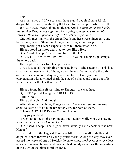160

was that, anyway? If we save all those stupid people from a REAL dragon like this one, maybe they'll let us into their stupid Tribe after all."

*WELL, WELL, WELL,* thought Hiccup. *This* is *a turn up for the books. Maybe that Dragon was right and he* is *going to help me with my It's-Hard-to-Be-a-Hero problem. Before he eats me, of course.*

One solo meeting with the Green Death and here were nineteen young barbarians, most of them much bigger and tougher and rougher than Hiccup, looking at Hiccup expectantly to tell them what to do.

Hiccup stood on tiptoe and tried to look like a Hero.

"OK," said Hiccup. "I need some time to think."

"GIVE THE BOY SOME ROOM HERE!" yelled Thuggory, pushing all the others back.

He swept off a rock for Hiccup to sit on.

*u* You just do all the thinking you need, boyo," said Thuggory. "This is a situation that needs a lot of thought and I have a feeling you're the only one here who can do it. Anybody who can have a twenty-minute conversation with a winged shark the size of a planet and come out of it alive is a better thinker than I am."

161

Hiccup found himself warming to Thuggory the Meathead.

"QUIET!" yelled Thuggory. "HICCUP IS

THINKING."

Hiccup thought. And thought.

After about half an hour, Thuggory said: "Whatever you're thinking about to get rid of that monster better work for both of them."

"There's ANOTHER Dragon?" asked Hiccup.

Thuggory nodded.

"I went up to the Highest Point and spotted him while you were having your chat with the Big Green One."

"OK," said Hiccup. "That's good news, actually. Let's check out the new Horror."

The trail up to the Highest Point was littered with scallop shells and dolphins' bones thrown up by the gigantic storm. Along the way they even passed the wreck of one of Stoick's favorite ships, the *Pure Adventure,* lost at sea seven years before, and now perched crazily on a rock three quarters of the way up the biggest hill on Berk.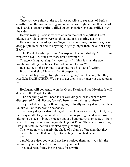162

Once you were right at the top it was possible to see most of Berk's coastline and the sea encircling you on all sides. Right at the other end of the island, a Dragon entirely filled up Unlandable Cove and spilled over the sides.

He was resting his vast, wicked chin on the cliff as a pillow. Great plumes of violet smoke were belching out of his snoring nostrils.

He was another Seadragonus Giganticus Max-imus, this time a glorious deep purple in color and, if anything, slightly larger than the one at Long Beach.

"The Purple Death, I presume," whispered Hiccup, shakily. "This is just what we need. Are you sure there aren't any more?"

Thuggory laughed, slightly hysterically. "I think it's just the two nightmare killing machines. Two not enough for you?"

Back at the Highest Point, Hiccup outlined his Plan of Action.

It was Fiendishly Clever -- if a bit desperate.

"We aren't big enough to fight these dragons," said Hiccup, "but they *can* fight EACH OTHER. We have to get them *really* angry at one another. We

163

Hooligans will concentrate on the Green Death and you Meatheads will deal with the Purple Death.

"The one thing we will need is our own dragons, who seem to have disappeared," said Hiccup, "so we'd better start calling for them."

They started calling for their dragons, as loudly as they dared, and then louder still as there was no response.

The twenty dragons that belonged to the Novices were not, in fact, very far away at all. They had made up after the dragon fight and were now hiding in a piece of boggy bracken about a hundred yards or so away from where the boys were standing on the Highest Point. They were crouching like giant cats in the ferns, wicked eyes gleaming.

They were now so exactly the shade of a clump of bracken that they seemed to have melted entirely into the bog. If you had been

164

a rabbit or a deer you would not have noticed them until you felt the talons on your back and the hot fire on your neck.

They had been following the boys for a while.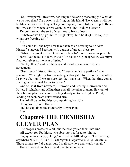"So," whispered Fireworm, her tongue flickering menacingly. "What do we ho now then? Tie power is shifting on this island. Tie Masters will not be Masters for much longer. They are trapped, like lobsters in a pot. *We* are not. We can fly. whenever we want. Do we obey or do we desert?"

Dragons are not the sort of creatures to back a loser.

"Whatever we ho," grumbled Brightclaw, "let's ho it QOICKLY, m *y;* wings are freezing up?."

165

"We could kill the boys now take them as an offering to tie New Master," suggested Seaslug, with a grunt of greedy pleasure.

"What, that great green. Devil on the beach?" said Horrorcow placidly. "I don't like the look of him, myself. He has too big an appetite. We might find. ourselves as the next offering."

"We fly, then," said Brightclaw, and the others murmured their agreement.

"S-s-siience," hissed Fireworm. "These islands are perilous," she sneered. "We might fly from one danger straight into tie mouth of another. I say we obey, until we are sure *that* they have lost. When that time comes I will give the signal for us to desert."

And so, as if from nowhere, Fireworm and Seaslug, Horrorcow and Killer, Brightclaw and Alligatiger and all the other dragons flew out of their hiding place and came circling slowly up to the Highest Point, landing on each boy's outstretched arm.

Last of all came Toothless, complaining horribly.

"Dragons . ..," said Hiccup.

And he explained the Fiendishly Clever Plan. 166

## **Chapter4 THE FIENDISHLY CLEVER PLAN**

The dragons protested a bit, but the boys yelled them into line. All except for Toothless, who absolutely refused to join in.

"Y-y-you must be j-j-joking," sneered the little dragon. "I refuse to go anywhere N-N-NEAR a S-S-Seadragonus Gigamticus M-M-Maximus. Those things are d-d-dangerous. I shall stay here and watch you all."

Hiccup coaxed and bribed and threatened in vain.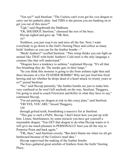"You see?" said Snotlout. "The Useless can't even get his *own* dragon to carry out his pathetic plan. And THIS is the person you are banking on to get you out of this mess?"

"Ugh," said Dogsbreath the Duhbrain.

"Oh, SHUDDUP, Snotlout," chorused the rest of the boys.

Hiccup sighed and gave up. "OK then,

167

Toothless, you just *stag h* ere and miss all the fun. Now, I want everybody to go down to the Gull's Nesting Place and collect as many birds' feathers as you can for the feather bombs --"

"Birds' feathers!" scoffed Snotlout. "This wimp thinks you can fight an animal like THAT with birds' feathers! Cold steel is the only language a creature like that will understand."

"Dragons have a tendency to asthma," explained Hiccup. "It's all that fire-breathing they do. The smoke gets in their lungs."

"So you think this monster is going to die from asthma right then and there because of a few FEATHER BOMBS? Why not just feed him fried herring and see whether he drops dead of a heart attack in twenty years or so?" jeered Snotlout.

"No," said Hiccup patiently, "the feather bombs are just to make him very confused so he won't kill anybody on the way. Snotlout, Thuggory, I'm going to need to coach Fireworm and Killer in what they have to say," continued Hiccup.

"I'm not putting *my* dragon at risk in this crazy plan," said Snotlout. "OH YES, YOU ARE," hissed Thuggory,

168

through gritted teeth, brandishing a massive fist at Snotlout.

"This guy is such a PAIN, Hiccup, I don't know how you put up with him. Listen, Snotfeatures, by some miracle you have got yourself a reasonable dragon. "You GET that dragon to do what Hiccup wants or it will give me much pleasure to PERSONALLY boot you all the way to Porpoise Point and back again."

"OK, then," said Snotlout crossly. "But don't blame me when we all get barbecued because of the Useless's mad idea."

Hiccup supervised the making of the feather bombs.

The boys gathered great armfuls of feathers from the Gulls' Nesting Place.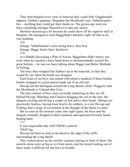They then burgled every item of material they could find: Goggletoad's nappies, Gobber's pajamas, Mogadon the Meathead's tent, Valhallarama's bra -- anything they could get their hands on. The grown-ups were too busy consulting amongst themselves to take any notice.

Snotlout cheered up a bit because he could show off his superior skill at Burglary. He managed to steal Baggybum's knickers right off him as he was standing

169

[Image: Valhallarama's extra strong heavy duty bra]

[Image: Baggy bum's hairy knickers]

170

in a Huddle discussing a Plan of Action. Baggybum didn't notice, not even when he reached a hairy hand down to absentmindedly scratch his great bottom -- he was too busy talking about Bigger and Better Methods of Yelling.

The boys then wrapped the feathers up in the material, so that they would fly out when the bomb was dropped.

Each team of ten boys was armed with about a hundred of these feather bombs wrapped in a great parcel made out of an old sail.

Hiccup led the Hooligans toward the Long Beach, while Thuggory took the Meatheads to Unland-able Cove.

The thin column of boys were excitedly chattering as they set off behind Hiccup; Wartihog and Clueless dragging the sail at the rear, the dragons circling and diving a couple of feet above their heads. Vikings are practically fearless, having been bred to be soldiers, so even Hiccup and Fishlegs had a surge of excitement at the thought of the battle to come.

But as soon as the monster came into sight again, the boys and the dragons instantly dropped to their tummies and squirmed forward, hearts beating hard.

171

It was impossible that ANYTHING could be

THAT big.

Hiccup led them as near as he dared to the edge of the cliffs surrounding the Long Beach.

They looked down on the terrible creature snoring in front of them. His nostrils alone were as big as six front doors, and the stench reeking out of them made it difficult for the boys to breathe.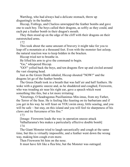Wartihog, who had always had a delicate stomach, threw up disgustingly in the heather.

Hiccup, Fishlegs, and Clueless unwrapped the feather bombs and gave one to each boy. The boys called their dragons, as softly as they could, and each put a feather bomb in their dragon's mouth.

They then stood up on the edge of the cliff with their dragons on their outstretched arms.

172

This took about the same amount of bravery it might take for you to leap off a mountain at a thousand feet. Even with the monster fast asleep, the natural reaction was to keep hidden in the bracken.

Hiccup tried not to breathe in.

He lifted his arm to give the command to begin.

"Go," whispered Hiccup.

"GO!" yelled back the boys, and ten dragons flew up and circled around the vast sleeping head.

Just as the Green Death inhaled, Hiccup shouted "NOW!" and the dragons let go of the feather bombs.

The Green Death took in a breath that was half air and half feathers. He woke with a gigantic sneeze and, as he shuddered and coughed, Fireworm, who was treading air near his right ear, gave a speech which went something like this, but a lot more irritating:

"Greetings, O Seadragonus Pusillanimus Min-imus, from my Father, the Terror of the Seas. He is feeling like feasting on tie barbarians and if you get in his way. he will feast on YOU.swim away, little seaslug, and you will be safe  $\sim$  but stay, on this island and you will feel tie sharpeness of his claws and tie fierceness of his fire."

173

[Image: Fireworm leads the way in operation sneeze attack

Valhallarama's bra makes a particularly effective double bomb] 174

The Giant Monster tried to laugh sarcastically and cough at the same time, but this is virtually impossible, and a feather went down the wrong way, making him cough even more.

Then Fireworm bit him on the nose.

It must have felt like a flea bite, but the Monster was outraged.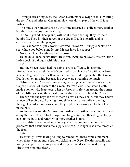Through streaming eyes, the Green Death made a swipe at this irritating dragon-flea and missed. One giant claw tore down part of the cliff-face instead.

The nine other dragons had by this time returned to collect more feather bombs from the boys on the cliffs.

"NOW!" yelled Hiccup and, with split-second timing, they let their bombs fly. They hit their target of the Green Death's nostrils and he collapsed with coughing again.

"You cannot win, puny worm," crowed Fireworm. "Wriggle back to tie sea. where you belong and let my Master have his supper."

Now the Green Death was *really* cross.

He bounded lopsidedly after Fireworm, trying to bat away this irritating little speck of a dragon with his claws.

175

But the Green Death had the same sort of difficulty in catching Fireworm as you might have if you tried to catch a firefly with your bare hands. Dragons are better than humans at that sort of game but the Green Death kept on missing because his eyes were streaming so much.

"Missed again!" sneered Fireworm, enjoying herself hugely -- and she flapped just out of reach of the Green Death's claws. The Green Death made another wild leap toward her as Fireworm flew on around the corner of the cliffs, steering the monster in the direction of Unlandable Cove.

Hiccup and the boys ran after them as fast as they could, but they hadn't a hope of keeping up. Running through heather is not unlike running through knee-deep molasses, and they kept disappearing up to their knees in the bog.

As Fireworm and the Monster got farther and farther ahead in their race along the shore line, it took longer and longer for the other dragons to fly back to the boys and return with more feather bombs.

The military commanders among you will recognize the kind of problems that ensue when the supply line can no longer reach the forces at the front.

176

Eventually it was taking so long to reload that there came a moment when there were no more feathers tickling the Green Death's nostrils and his eyes stopped streaming and suddenly he could see the maddening Fireworm pinpoint clear. . . .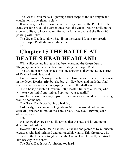The Green Death made a lightning reflex swipe at the red dragon and caught her in one gigantic claw.

It was lucky for Fireworm that at that very moment the Purple Death came crashing round the corner and struck the Green Death heavily in the stomach. His grip loosened on Fireworm for a second and she flew off, panting with relief.

The Green Death sat down heavily in the sea and fought for breath. The Purple Death did much the same.

#### 177

### **Chapter 15 THE BATTLE AT DEATH'S HEAD HEADLAND**

While Hiccup and his team had been enraging the Green Death, Thuggory and *his* team had been infuriating the Purple Death.

The two monsters ran smack into one another as they met at the corner of Death's Head Headland.

One of Fireworm's wings was broken in two places from her experience in the Green Death's grip, but she bravely flew back and made her final speech into his ear as he sat gasping for air in the shallows.

"Here he is," shouted Fireworm. *"My* Master, tie Purple Horror, who will tear you limb from limb and spit out your toenails!"

And Fireworm flew away lopsidedly as fast as she could, with one wing trailing behind her.

The Green Death was having a bad day.

Ordinarily, a Seadragonus Giganticus Maximus would not dream of attacking another animal of the same breed. They avoid fighting each other because

178

they know they are so heavily armed that the battle risks ending in death for both of them.

However, the Green Death had been attacked and jeered at by minuscule creatures who had inflamed and outraged his vanity. This Creature, who seemed to think he was tougher than the Green Death himself, had struck him heavily in the chest.

The Green Death wasn't thinking too hard.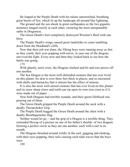He leaped at the Purple Death with his talons outstretched, breathing great bursts of fire, which lit up the landscape all around like lightning.

The ground and the sea shook in great earthquakes as the two gigantic monsters lunged crazily at each other, swearing the most unrepeatable oaths in Dragonese.

The Green Death's foot completely destroyed Wrecker's Reef with one blow.

The Purple Death's wings caused great landslides to come tumbling down from the Headland's cliffs.

Now that their job was done, the Viking boys were running away as fast as they could, their eyes popping with terror, in case one of the dragons survived the fight. Every now and then they looked back to see how the battle was going.

179

With ghastly, eerie cries, the Dragons slashed and bit and tore pieces off one another.

The Sea Dragon is the most well-defended creature that has ever lived on this planet. Its skin is over three feet thick in places, and so encrusted with shells and barnacles that it almost has the effect of armour.

It is also the most well-armed creature that has ever lived on this planet and its razor sharp claws and teeth can rip open its own iron crust as if it were made out of paper. . . .

Now both Dragons had terrible wounds, and their green lifeblood was pouring out of them.

The Green Death gripped the Purple Death around the neck with a deadly Throatchoker Grip.

The Purple Death hugged the Green Death around the chest with a deadly Breathquencher Hug.

Neither would let go -- and the grip of a Dragon is a terrible thing. They reminded Hiccup of a picture on one of his father's shields: of two dragons forming a perfect circle as they ate one another, each with a tail in its mouth.

The Dragons thrashed around wildly in the surf, gagging and choking, with their eyes popping, their tails causing such tidal waves that the boys were

180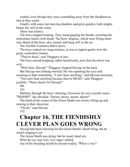soaked, even though they were scrambling away from the Headland as fast as they could.

Finally, with some last heaving shudders and grim gurgles, both mighty beasts lay still in the water.

There was silence.

The boys stopped running. They stood gasping for breath, watching the motionless beasts with dread. The boys' dragons, which were flying some way ahead of the boys, also turned, and hung still in the air.

The Terrible Creatures didn't move.

The boys waited two long minutes, as waves lapped gently over the great, motionless bodies.

"They're dead," said Thuggory at last.

The boys started laughing, rather hysterically, now that the terror was over.

"Well done, Hiccup!" Thuggory slapped Hiccup on the back.

But Hiccup was looking worried. He was squinting his eyes and straining to hear something. "I can't hear anything," said Hiccup anxiously.

"You can't hear anything because they're DEAD," said Thuggory joyfully. "Three cheers for Hiccup!"

l80

181

Halfway through the boys' cheering, Fireworm let out a terrible noise. "DESERT!" she shrieked. "Desert, desert, desert, desert!"

The head of the corpse of the Green Death was slowly lifting up and turning in their direction.

"Uh-oh," said Hiccup.

182

# **Chapter 16. THE FIENDISHLY CLEVER PLAN GOES WRONG**

Hiccup had been listening for the Green Death's Death Song, but he wasn't singing it yet.

The Green Death was dying, but he wasn't dead yet.

What he *was* was very, very angry indeed.

Out of his bleeding mouth he hissed weakly, *"Where is he?"*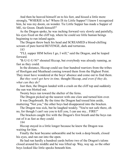And then he heaved himself on to his feet, and hissed a little more strongly, "WHERJE is he? Where IS tie Little Supper? I knew I recognized him, he was my doom, on wonder. Tie Little Supper has made a Supper of ME, tie Green. Death himself!"

As the Dragon spoke, he was inching forward very slowly and painfully, his eyes fixed on the cliff top, where he could see little human beings beginning to run inland again.

The Dragon threw back his head and SCREAMED a blood-chilling scream of pure horrid REVENGE, dark and torturous.

183

"I'LL supper HIM before I go, I will," said the Dragon, and he leaped forward.

"R-U-U-U-N!" shouted Hiccup, but everybody was already running, as fast as they could.

In the distance, Hiccup could see four hundred warriors from the tribes of Hooligan and Meathead coming toward them from the Highest Point. They must have wondered at the boys' absence and come out to find them.

*But they won't get here in time,* thought Hiccup, *and even if they do, what can they do?*

Just then, the Dragon landed with a crash on the cliff top and suddenly the sun was blotted out.

Twenty boys ran toward the shelter of the ferns.

The Dragon picked up the nearest with one claw and turned him over. It was Dogsbreath. By the time the Dragon had tossed him aside,

muttering "Not you," the other boys had disappeared into the bracken.

The Dragon was sick, but he laughed weakly. "You're not safe there, oh no, for though I can't see you to kill you, I can use my... FIRE!"

The bracken caught fire with the Dragon's first breath and the boys ran out of it as fast as they could.

184

Hiccup stayed in a little longer because he knew the Dragon was waiting for him.

Finally the heat became unbearable and he took a deep breath, closed his eyes, and ran out into the open.

He had run hardly a hundred yards before two of the Dragon's talons closed around his middle and he was lifted up. Way, way up, so the other boys looked like little specks beneath him.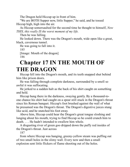The Dragon held Hiccup up in front of him.

"We are BOTH Supper now, little Supper," he said, and he tossed Hiccup high, high into the air.

As Hiccup somersaulted for the second time he thought to himself, *Now THIS, this really IS the worst moment of my life.*

Then he was falling.

He looked down. There was the Dragon's mouth, wide open like a great, black, cavernous tunnel.

He was going to fall into it.

185

[Image: Mouth of the dragon]

186

## **Chapter 17 IN THE MOUTH OF THE DRAGON**

Hiccup fell into the Dragon's mouth, and its teeth snapped shut behind him like prison doors.

He was falling through complete darkness, surrounded by a smell so awful it was suffocating.

He jerked to a sudden halt as the back of his shirt caught on something and held.

Hiccup hung there in the darkness, swaying gently. By a thousand-toone chance his shirt had caught on a spear still stuck in the Dragon's throat since his Roman banquet. Hiccup's foot brushed against the wall of what he presumed was the Dragon's throat. The Dragon's digestive juices stung like acid, and he snatched his foot away.

Above him, Hiccup could hear the Dragon's great tongue sloshing and lunging about his mouth, trying to find Hiccup so he could crunch him to death. . . . He hadn't intended to swallow him whole.

A disgusting river of green goo dripped down the puffy red insides of the Dragon's throat. Just across

187

from where Hiccup was hanging, greeny-yellow steam was puffing out of two small holes in the slimy wall. Every now and then a small explosion sent little flickers of flame shooting out of the holes.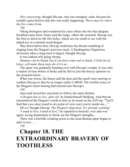*How interesting,* thought Hiccup, who was strangely calm, because he couldn't quite believe that this was really happening. *Those must be where the fire comes from.*

188

Viking biologists had wondered for years where the fire that dragons breathed came from. Some said the lungs, others the stomach. Hiccup was the first to discover the fire-holes, which are too small to see with the naked eye in a normal-sized dragon.

Way down below him, Hiccup could hear the distant rumbling of singing from the Dragon's previous meal. A Seadragonus Giganticus obviously takes a long time to digest, thought Hiccup.

It was indeed still going strong:

*Humans can be bland, but if you have some salt to hand, A little bit of brine, will make them taste div-I-I-I-ne. . . .*

The spear was gradually bending over with Hiccup's weight. It was only a matter of time before it broke and he fell to join the breezy optimist in the stomach below. . . .

What was worse, the fumes and the heat and the smell were starting to confuse Hiccup so that he no longer really CARED. The terrible noise of the Dragon's heart beating had entered into Hiccup's

189

chest and forced his own heart to follow the same rhythm.

*A Dragon has to live, after all,* he found himself thinking. And then he remembered the Dragon's words to him as he stood on the cliff top: "You'll find that you come round to my point of view once you're inside me...."

*Oh no!* thought Hiccup. *The Dragon's digestion! It's already working!*

"I need to live, I need to live," he repeated to himself, over and over again, trying desperately to block out the Dragon's thoughts.

There was a horrible creaking noise as the stout Roman spear began to split in two. . . .

190

## **Chapter 18. THE EXTRAORDINARY BRAVERY OF TOOTHLESS**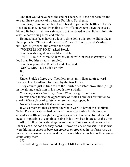And that would have been the end of Hiccup, if it had not been for the extraordinary bravery of a certain Toothless Daydream.

Toothless, if you remember, had refused to join in the battle at Death's Head Headland. He was intending to fly off somewhere down the coast a bit and lie low till all was safe again, but he stayed at the Highest Point for a while, terrorizing birds and rabbits.

He must have been having a lovely time doing this, for he did not hear the approach of Stoick and the entire Tribes of Hooligan and Meathead until Stoick grabbed him around the neck.

"WHERE IS MY SON?" asked Stoick.

Toothless shrugged his shoulders rudely.

"WHERE IS MY SON???" bawled Stoick with an awe-inspiring yell so loud that Toothless's ears trembled.

Toothless pointed to Death's Head Headland.

"SHOW ME," said Stoick grimly.

I90

191

Under Stoick's fierce eye, Toothless reluctantly flapped off toward Death's Head Headland, followed by the two Tribes.

They arrived just in time to see the Terrible Monster throw Hiccup high in the air and catch him in his mouth like a whelk.

*So much for the Fiendishly Clever Plan,* thought Toothless.

He was about to use the opportunity of Stoick's obvious distraction to sneak off to a place of safety when something stopped him.

Nobody knows what that something was.

It was a moment that changed the whole world-view of the Hooligan Tribe. For centuries we had believed it was impossible for dragons to consider a selfless thought or a generous action. But what Toothless did next is impossible to explain as being in his own best interests at the time.

All his fellow domestic dragons were now flying somewhere over the Inner Ocean. As soon as they heard Fireworm's cry of "Desert!" those who were hiding in caves or between crevices or crouched in the ferns rose up in a great swarm and abandoned their former Masters as fast as their wings could carry them.

192

The wild dragons from Wild Dragon Cliff had left hours before.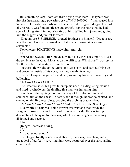But something kept Toothless from flying after them -- maybe it was Stoick's heartrendingly powerless cry of "N-N-N00000!!!" that caused him to pause. Or maybe somewhere in that self-centered green dragon heart of his, he really was fond of Hiccup and grateful for the hours that he had spent looking after him, not shouting at him, telling him jokes and giving him the biggest and juiciest lobsters.

"Dragons are S-S-SELHSH," argued Toothless to himself. "Dragons are heartless and have no m-m-makes. That's what m-m-makes us s-ssurvivors."

Nonetheless SOMETHING made him turn right

193

around and SOMETHING made him fold his wings back and fly like a dragon blur to the Great Monster on the cliff tops. Which *really* was *not* in Toothless's best interests, as I said before.

Toothless flew right up the Monster's left nostril and started flying up and down the inside of his nose, tickling it with his wings.

The Sea Dragon lunged up and down, wrinkling his nose like crazy and bellowing.

"A-A-A-AAAAAAAH..."

The Creature stuck his great talon up his nose in a disgusting fashion and tried to winkle out the tickling flea that was irritating him.

Toothless didn't quite get out of the way of the talon in time and it scratched him on the chest. He hardly felt it though, he was so excited, and carried on tickling regardless, dodging the probing dragon claw.

"A-A-A-A-A-A-A-A-A-AAAAAAAAH..." bellowed the Sea Dragon.

Meanwhile Hiccup was being thrown this way and that inside the Dragon's throat as it shook its head from side to side. He was trying desperately to hang on to the spear, which was in danger of becoming dislodged any second.

194

[Image: Toothless diving]

195

**"...** *choooooooooooi* "

The Dragon finally sneezed and Hiccup, the spear, Toothless, and a great deal of perfectly revolting Snot were scattered over the surrounding countryside.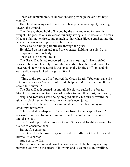Toothless remembered, as he was shooting through the air, that boys can't fly.

He folded his wings and dived after Hiccup, who was rapidly heading toward the ground.

Toothless grabbed hold of Hiccup by the arm and tried to take his weight. Dragons' talons are extraordinarily strong and he was able to break Hiccup's fall, not entirely, but enough so that when Hiccup crashed into the heather he was traveling reasonably slowly.

Stoick came plunging frantically through the grass.

He picked up his son and faced the Monster, holding his shield over Hiccup's unconscious body.

Toothless hid behind Stoick.

The Green Death had recovered from his sneezing fit. He shuffled forward, bleeding horribly from fatal wounds to his chest and throat. He lowered his terrible head till it was on a level with the cliff top, and his evil, yellow eyes looked straight at Stoick.

196

"Time to did for *all* of us," purred the Green Death. "You can't save hi *s* life now, you know. You are quite, quite helpless. My FIRE will melt that shield like butter...."

The Green Death opened his mouth. He slowly sucked in a breath. Stoick tried to grab on to chunks of heather to hold them fast, but Stoick, Hiccup, and Toothless were being dragged slowly but surely toward the gigantic black tunnel that was the Monster's open jaws.

The Green Death paused for a moment before he blew out again, enjoying their terror.

"This is what h-h-happens if you don't listen to tie Dragon Law. ..." shrieked Toothless to himself in horror as he peered around the side of Stoick's cloak.

The Monster puffed out his cheeks and Stoick and Toothless waited for flames to consume them.

But no fire came out.

The Green Death looked very surprised. He puffed out his cheeks and blew a little harder.

And again, no fire.

He tried once more, and now his head seemed to be turning a strange purplish color with the effort of blowing, and it seemed to be swelling,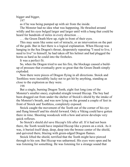bigger and bigger,

197

as if he was being pumped up with air from the inside.

The Monster had no idea what was happening. He thrashed around wildly and his eyes bulged larger and larger until with a bang that could be heard for hundreds of miles in every direction . . .

. . . the Green Death blew up, right in front of their eyes.

This may seem like some sort of miracle, or an intervention on the part of the gods. But in fact there is a logical explanation. When Hiccup was hanging in the Sea Dragon's throat, desperately repeating "I need to live, I need to live" to himself, he had taken off his helmet and had plugged the horns as hard as he could into the fireholes.

It was a perfect fit.

So, when the Dragon tried to use his fire, the blockage caused a buildup of pressure that eventually grew so great that the Green Death simply exploded.

Now there were pieces of Dragon flying in all directions. Stoick and Toothless were incredibly lucky not to get hit by anything, standing as close to the explosion as they were.

198

But a single, burning Dragon Tooth, eight feet long (one of the Monster's smaller ones), exploded straight toward Hiccup. The boy had been dragged out from under the shelter of Stoick's shield by the intake of the Monster's breath, and was now lying on the ground a couple of feet in front of Stoick and Toothless, completely exposed.

Stoick caught the movement of the Tooth out of the corner of his eye and flung himself and his shield forward. Only a Viking could have gotten there in time. Shooting woodcock with a bow and arrow develops very quick reflexes.

So Stoick's shield *did* save Hiccup's life after all. If it had not been there, the Tooth would have impaled Hiccup like a prawn on a stick. As it was, it buried itself deep, deep, deep into the bronze center of the shield, and quivered there, blazing with green-edged Dragon flames.

Stoick lifted the shield, terrified that the Tooth might have pierced through to his son. But Hiccup was unharmed. His eyes were open and he was listening for something. He was listening for a strange sound that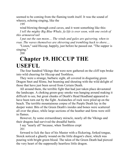seemed to be coming from the flaming tooth itself. It was the sound of wheezy, echoing singing, like the

199

wind blowing through coral caves, and it went something like this:

*I tell the mighty Big Blue Whale, fa life is over soon, with one swish of this armoured tail*

*I put out the sun moon.... The winds and gales are quivering, when to roar, The waves themselves are shivering and trembling hack to shore....*

"Listen," said Hiccup, happily, just before he passed out. "The supper is singing."

200

## **Chapter 19. HICCUP THE USEFUL**

The four hundred Vikings that were now gathered on the cliff tops broke into wild cheering for Hiccup and Toothless.

They were a strange, barbaric sight, all covered in disgusting green Dragon Snot and Slime, but beaming and shouting with the wild delight of those that have just been saved from Certain Death.

All around them, the terrible fight that had just taken place devastated the landscape. A choking green-gray smoke was hanging around making it difficult to see, but great chunks of Death's Head Headland appeared to have been torn out by the fight. Avalanches of rock were piled up on the beach. The terrible mountainous corpse of the Purple Death lay in the deeper water. Bits of the Green Death's insides and bones were scattered all over the place, while large sections of the heather and ferns were still in flames.

However, by some extraordinary miracle, nearly all the Vikings and their dragons had survived the dreadful battle.

I say "nearly all" because, when Toothless crept 201

forward to lick the face of his Master with a flickering, forked tongue, Stoick noticed a ghastly wound on the little dragon's chest, which was pouring with bright green blood. The talon of the Green Death had pierced the very heart of the supposedly heartless little dragon.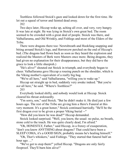Toothless followed Stoick's gaze and looked down for the first time. He let out a squeal of terror and fainted dead away.

202

Two days later, Hiccup woke up, aching all over, and very, very hungry. It was late at night. He was lying in Stoick's own great bed. The room seemed to be crowded with a great deal of people. Stoick was there, and Valhallarama, and Old Wrinkly, and Fishlegs and most of the Elders of the Tribe.

There were dragons there too: Newtsbreath and Hookfang snapping and biting around Stoick's legs, and Horrorcow perched on the end of Hiccup's bed. (The dragons had flown back as soon as they heard the explosion and realized the Masters of Berk were Masters once more. Being dragons, they had given no explanation for their disappearance, but they did have the grace to look a little sheepish.)

"He's alive!" shouted out Stoick in triumph, and everybody began to cheer. Valhallarama gave Hiccup a rousing punch on the shoulder, which is the Viking mother's equivalent of a really big hug.

"We're all here," said Valhallarama, "willing you to wake up."

Hiccup sat straight up in bed, suddenly very awake indeed. "But you're *not* all here," he said. "Where's Toothless?"

203

Everybody looked shifty, and nobody would look at Hiccup. Stoick cleared his throat awkwardly.

"I'm sorry, son," said Stoick. "But he didn't make it. He died just a few hours ago. The rest of the Tribe are giving him a Hero's Funeral at this very moment. It's a great honor," Stoick continued hurriedly. "He'll be the first dragon ever to be given a proper Viking burial --"

"How did you know he was dead?" Hiccup demanded.

Stoick looked surprised. "Well, you know, the usual: no pulse, no breath, stone cold to the touch. He was quite clearly dead, I'm afraid."

"Oh, HONESTLY, Father," said Hiccup, in a frenzy of exasperation, "don't you know ANYTHING about dragons? That could have been a SLEEP COMA, it's a GOOD SIGN, probably means he's healing himself."

"Oh, Thor's whiskers," said Fishlegs. "They started that funeral half an hour ago. ..."

"We've got to stop them!" yelled Hiccup. "Dragons are only fairly fireproof. They'll burn him alive!"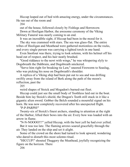Hiccup leaped out of bed with amazing energy, under the circumstances. He ran out of the room and

204

out of the house, followed closely by Fishlegs and Horrorcow.

Down at Hooligan Harbor, the awesome ceremony of the Viking Military Funeral was nearly coming to an end.

It was an incredible sight, if Hiccup had been in the mood for it.

The sky was crammed with stars. The sea was glass-flat. The entire tribes of Hooligan and Meathead were gathered motionless on the rocks, and every single person was carrying a lighted torch in one hand.

Even Snotlout was there, trying to look solemn, with his helmet off his head out of respect, and his hair neatly brushed.

"Good riddance to the newt with wings," he was whispering slyly to Dogsbreath the Duhbrain, and Dogsbreath snickered.

"Serve him right for breaking tie Law," sneered Fireworm to Seaslug, who was picking his nose on Dogsbreath's shoulder.

A replica of a Viking ship had been put out to sea and was drifting swiftly away from the island of Berk along the path of the moon's reflection, past the

205

weird shapes of Stoick and Mogadon's burned-out fleet.

Hiccup could just see the small body of Toothless laid out in the boat. Beside him lay Stoick's shield, the Dragon's Tooth still stuck in it like a gigantic alien sword. Gobber the Belch sounded a mournful signal on his horn. He was now completely recovered after his unexpected flight.

"P-P-PARPH!"

Twenty-six of Stoick's finest archers, standing to attention at the right of the Harbor, lifted their bows into the air. Every bow was loaded with an arrow in flame.

"N-N-NOOOO!!!" yelled Hiccup, with the best yell he had ever yelled.

But it was too late. The flaming arrows soared gracefully through the air. They landed on the ship and set it alight.

Some of the crowd on the shore had turned to look upward, wondering who dared to disturb this most solemn ritual.

"HICCUP!" shouted Thuggory the Meathead, joyfully recognizing the figure on the horizon. There

206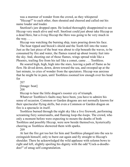was a murmur of wonder from the crowd, as they whispered

"Hiccup?" to each other, then shouted and cheered and called out his name louder and louder.

Snotlout's jaw dropped open. He looked thoroughly disappointed to see Hiccup very much alive and well. Snotlout could just about take Hiccup as a dead Hero, but a *living* Hiccup the Hero was going to be very much in the way. . . .

Hiccup was watching the burning ship, tears pouring down his face.

The boat tipped and Stoick's shield and the Tooth fell into the water. Just as the last piece of the boat was about to slip beneath the waves, to be consumed by fire and water, the flames reared up about twenty feet into the sky. And, shooting out of those flames, wings spread wide like a Phoenix, trailing fire from his tail like a comet, came . . . Toothless.

He soared high, high, high into the stars, leaving a path of flame as he flew. He dived down, down, down toward the sea, and swooped up at the last minute, to cries of wonder from the spectators. Hiccup was anxious that he might be in pain, until Toothless zoomed low enough over his head for

207 [Image: boat]

208

Hiccup to hear the little dragon's rooster cry of triumph.

Whatever Toothless's faults may have been, you have to admire his sense of occasion. Common or Garden dragons are not normally known for their spectacular flying skills, but even a Common or Garden dragon on fire is a spectacle in itself.

Toothless burned through the night sky like a live firework, performing screaming fiery somersaults, and flaming loop-the-loops. The crowd, who only a moment before were expecting to mourn the deaths of both Toothless and possibly Hiccup, were now beside themselves, hysterically cheering as Toothless showered them with sparks.

209

At last the fire got too hot for him and Toothless plunged into the sea to extinguish himself, only to burst out again and fly straight to Hiccup's shoulder. There he acknowledged the wild applause with solemn bows to right and left, slightly spoiling his dignity with the odd "Cock-a-doodledoo!" of smug self-congratulation.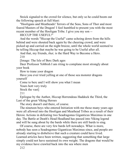Stoick signaled to the crowd for silence, but only so he could boom out the following speech at full blast:

"Hooligans and Meatheads! Terrors of the Seas, Sons of Thor and most feared Masters of the Dragon! I feel humbled to present you with the most recent member of the Hooligan Tribe. I give you my son --

HICCUP THE USEFUL!"

And the words "Hiccup the Useful" came echoing down from the hills behind and were shouted back again by the cheering crowd, and were picked up and carried on the night breeze, until the whole world seemed to be telling Hiccup that maybe he was going to be Useful after all.

And that, my friends, *that,* is the Hard Way to Become a Hero. 210

[Image: The Isle of Berc Dark ages

Deer Professor Yobbish I am riting to complane most strongly about yoor book

How to trane yoor dragon

Have you ever tried yelling at one of those sea monster dragons yourself

Come to berc and I will show you what I mean

Yours hott very truly

Stock the vast]

211

Epilogue by the Author, Hiccup Horrendous Haddock the Third, the Last of the great Viking Heroes

The story doesn't end there, of course.

The nineteen boys who entered Initiation with me those many years ago were all allowed into the Hooligan and Meathead Tribes as a result of their Heroic Actions in defeating two Seadragonus Giganticus Maximus in one day. The Battle at Death's Head Headland has passed into Viking legend and will be sung about by the bards while there are still bards to sing.

Of course, there are very few bards left nowadays. What is more, nobody has seen a Seadragonus Giganticus Maximus since, and people are already starting to disbelieve that such a creature could have lived. Learned articles have been written, suggesting that something that large simply could not have sustained its own weight. The dragons that would be my evidence have crawled back into the sea where men

212